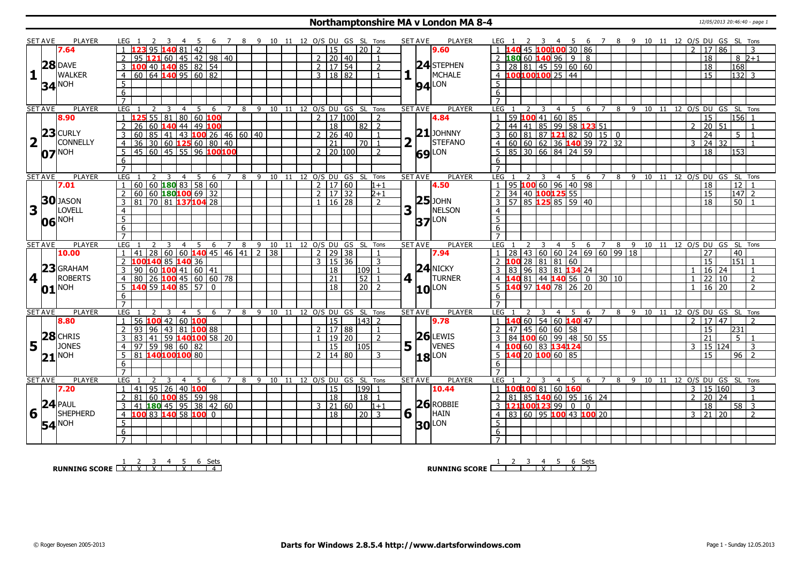### **Northamptonshire MA v London MA 8-4** 12/05/2013 20:46:40 - page 1

|                         | <b>SET AVE</b> | <b>PLAYER</b>     | LEG 1                                             | -3<br>- 4                                                          |   |                |                |   | 5 6 7 8 9 10 11 12 O/S DU GS SL Tons   |  |              |                           |                            |               |                  | <b>SET AVE</b>                 | <b>PLAYER</b>                | LEG 1                                                                               | 3  4  5  6  7  8  9  10  11  12  O/S  DU  GS  SL  Tons |     |                                        |    |      |    |                         |                 |    |                                |
|-------------------------|----------------|-------------------|---------------------------------------------------|--------------------------------------------------------------------|---|----------------|----------------|---|----------------------------------------|--|--------------|---------------------------|----------------------------|---------------|------------------|--------------------------------|------------------------------|-------------------------------------------------------------------------------------|--------------------------------------------------------|-----|----------------------------------------|----|------|----|-------------------------|-----------------|----|--------------------------------|
|                         |                | 7.64              |                                                   | 95 $140$ 81 42                                                     |   |                |                |   |                                        |  |              | l 15                      |                            | 20 2          |                  |                                | 9.60                         |                                                                                     | 45 100100 30 86                                        |     |                                        |    |      |    | 2 <sup>1</sup>          | 17   86         |    |                                |
|                         |                |                   |                                                   | 95 <b>121</b> 60   45   42   98   40                               |   |                |                |   |                                        |  |              | 2   20   40               |                            |               | $\mathbf{1}$     |                                |                              | $2$ 180 60 140 96 9 8                                                               |                                                        |     |                                        |    |      |    |                         | 18              |    | $8\,$ 2+1                      |
|                         | 28             | <b>DAVE</b>       | 3 $100$ 40 140 85 82 54                           |                                                                    |   |                |                |   |                                        |  | 2            | 17 54                     |                            |               | 2                |                                | 24 STEPHEN                   | $28 \ 81 \ 45 \ 59 \ 60 \ 60$                                                       |                                                        |     |                                        |    |      |    |                         | 18              |    | 168                            |
| $\mathbf{1}$            |                | <b>WALKER</b>     |                                                   | $60 \ 64 \ 140 \ 95 \ 60 \ 82$                                     |   |                |                |   |                                        |  |              | 3   18   82               |                            |               |                  |                                | MCHALE<br>H.                 | 4 100100100 25 44                                                                   |                                                        |     |                                        |    |      |    |                         | 15              |    | $132$ 3                        |
|                         |                |                   | $\overline{4}$                                    |                                                                    |   |                |                |   |                                        |  |              |                           |                            |               | $\mathbf{1}$     |                                |                              |                                                                                     |                                                        |     |                                        |    |      |    |                         |                 |    |                                |
|                         |                | <b>34 NOH</b>     | 5                                                 |                                                                    |   |                |                |   |                                        |  |              |                           |                            |               |                  |                                | $94$ <sup>LON</sup>          | 5                                                                                   |                                                        |     |                                        |    |      |    |                         |                 |    |                                |
|                         |                |                   | 6                                                 |                                                                    |   |                |                |   |                                        |  |              |                           |                            |               |                  |                                |                              | 6                                                                                   |                                                        |     |                                        |    |      |    |                         |                 |    |                                |
|                         |                |                   | $\overline{7}$                                    |                                                                    |   |                |                |   |                                        |  |              |                           |                            |               |                  |                                |                              | $\overline{7}$                                                                      |                                                        |     |                                        |    |      |    |                         |                 |    |                                |
|                         | <b>SET AVE</b> | <b>PLAYER</b>     | LEG<br>2                                          | 3<br>$\overline{4}$                                                | 5 | $\overline{6}$ | $\overline{7}$ |   | 8 9 10 11 12 O/S DU GS SL Tons         |  |              |                           |                            |               |                  | <b>SET AVE</b>                 | <b>PLAYER</b>                | LEG<br>3                                                                            | 4 5                                                    |     | 6 7                                    |    |      |    |                         |                 |    | 8 9 10 11 12 O/S DU GS SL Tons |
|                         |                | 8.90              | $1\,$ 1                                           | 55 81 80 60 100                                                    |   |                |                |   |                                        |  |              | $2 \mid 17 \mid 100 \mid$ |                            |               | $\overline{2}$   |                                | 4.84                         | 59 $100$ 41 60 85                                                                   |                                                        |     |                                        |    |      |    |                         | 15              |    | $156$ 1                        |
|                         |                |                   | $\overline{2}$                                    | 26 60 140 44 49 100                                                |   |                |                |   |                                        |  |              | 18                        |                            | 82   2        |                  |                                |                              | 44 41 85 99 58 123 51                                                               |                                                        |     |                                        |    |      |    | $\overline{2}$          | 20 51           |    |                                |
|                         |                | $23$ CURLY        | $3   60   85   41   43   100   26   46   60   40$ |                                                                    |   |                |                |   |                                        |  |              | $2 \mid 26 \mid 40$       |                            |               | $\mathbf{1}$     |                                | $21$ JOHNNY                  | 60 81 87 121 82 50 15 0                                                             |                                                        |     |                                        |    |      |    |                         | 24              |    | 5 <sup>1</sup>                 |
| $\overline{\mathbf{2}}$ |                | <b>CONNELLY</b>   | 4 I                                               | $36 \mid 30 \mid 60$ 125 60 80 40                                  |   |                |                |   |                                        |  |              | $\overline{21}$           |                            | 70   1        |                  | $\overline{\mathbf{2}}$        | $\mathbf{L}$<br>STEFANO      | $\left[60\, \,60\, \,62\, \,36\, \,140\, 39\, \,72\, \,32\right]$<br>$\overline{4}$ |                                                        |     |                                        |    |      |    | 3                       | 24              | 32 |                                |
|                         |                | <b>NOH</b>        | 5                                                 | 145 60 45 55 96 100100                                             |   |                |                |   |                                        |  |              | $2$   20   100            |                            |               | $\mathcal{P}$    |                                |                              | 85 30 66 84 24 59<br>5                                                              |                                                        |     |                                        |    |      |    |                         | 18              |    | 153                            |
|                         | 07             |                   | 6                                                 |                                                                    |   |                |                |   |                                        |  |              |                           |                            |               |                  |                                | <b>69</b> LON                | 6                                                                                   |                                                        |     |                                        |    |      |    |                         |                 |    |                                |
|                         |                |                   | $\overline{7}$                                    |                                                                    |   |                |                |   |                                        |  |              |                           |                            |               |                  |                                |                              |                                                                                     |                                                        |     |                                        |    |      |    |                         |                 |    |                                |
|                         |                | PLAYER            | LEG                                               |                                                                    |   |                |                |   |                                        |  |              |                           |                            |               |                  |                                |                              | LEG<br>$\overline{3}$                                                               |                                                        |     |                                        |    |      |    |                         |                 |    |                                |
|                         | <b>SET AVE</b> |                   | $\overline{1}$                                    | $\overline{3}$<br>$60   60$ 180 83 58 60                           |   | 4 5 6 7        |                |   | 8 9 10 11 12 0/S DU GS SL Tons         |  |              |                           |                            |               |                  | <b>SET AVE</b>                 | <b>PLAYER</b>                | 95 100 60 96 40 98                                                                  |                                                        |     | 4567                                   |    |      |    |                         |                 |    | 8 9 10 11 12 0/S DU GS SL Tons |
|                         |                | 7.01              |                                                   |                                                                    |   |                |                |   |                                        |  |              | 2   17   60               |                            |               | $1 + 1$          |                                | 4.50                         |                                                                                     |                                                        |     |                                        |    |      |    |                         | 18              |    | $\overline{12}$                |
|                         |                | <b>30</b> JASON   | $\overline{2}$                                    | $60   60$ 180100 69 32                                             |   |                |                |   |                                        |  |              | $2 \mid 17 \mid 32$       |                            |               | $2+1$            |                                | $25$ JOHN                    | 34 40 100125 55<br>2                                                                |                                                        |     |                                        |    |      |    |                         | $\overline{15}$ |    | $\overline{147}$ 2             |
|                         |                |                   | 3   81   70   81   137   104   28                 |                                                                    |   |                |                |   |                                        |  |              | $1 \mid 16 \mid 28$       |                            |               | $\overline{2}$   |                                |                              | $3\overline{)57}$ 85 125 85 59 40                                                   |                                                        |     |                                        |    |      |    |                         | 18              |    | $50$   1                       |
| $\overline{\mathbf{3}}$ |                | LOVELL            | $\overline{4}$                                    |                                                                    |   |                |                |   |                                        |  |              |                           |                            |               |                  | 3                              | NELSON<br>$\mathbf{L}$       | $\overline{4}$                                                                      |                                                        |     |                                        |    |      |    |                         |                 |    |                                |
|                         |                | 06 NOH            | $\overline{5}$                                    |                                                                    |   |                |                |   |                                        |  |              |                           |                            |               |                  |                                | LON<br>37                    | $\overline{5}$                                                                      |                                                        |     |                                        |    |      |    |                         |                 |    |                                |
|                         |                |                   | 6                                                 |                                                                    |   |                |                |   |                                        |  |              |                           |                            |               |                  |                                |                              | 6                                                                                   |                                                        |     |                                        |    |      |    |                         |                 |    |                                |
|                         |                |                   | $\overline{7}$                                    |                                                                    |   |                |                |   |                                        |  |              |                           |                            |               |                  |                                |                              |                                                                                     |                                                        |     |                                        |    |      |    |                         |                 |    |                                |
|                         |                |                   |                                                   |                                                                    |   |                |                |   |                                        |  |              |                           |                            |               |                  | <b>SET AVE</b>                 | <b>PLAYER</b>                |                                                                                     |                                                        |     |                                        |    |      |    |                         |                 |    |                                |
|                         | <b>SET AVE</b> | <b>PLAYER</b>     | LEG                                               |                                                                    |   |                |                |   | 4 5 6 7 8 9 10 11 12 O/S DU GS SL Tons |  |              |                           |                            |               |                  |                                |                              | LEG <sub>1</sub>                                                                    |                                                        |     | 4 5 6 7 8 9 10 11 12 O/S DU GS SL Tons |    |      |    |                         |                 |    |                                |
|                         |                | 10.00             | $\overline{1}$                                    | $41 \overline{)28 \overline{)60 \overline{)60}}$ 140 45 46 41 2 38 |   |                |                |   |                                        |  |              | $2$   29   38             |                            |               |                  |                                | 7.94                         | 28 43 60 60 24 69 60 99 18                                                          |                                                        |     |                                        |    |      |    |                         | 27              |    | 40                             |
|                         |                |                   | 2 100140 85 140 36                                |                                                                    |   |                |                |   |                                        |  | $\mathbf{3}$ | 15 36                     |                            |               | 3                |                                |                              | 100                                                                                 | $28 \ 81 \ 81 \ 60$                                    |     |                                        |    |      |    |                         | 15              |    | 151                            |
|                         |                | <b>GRAHAM</b>     | 3                                                 |                                                                    |   |                |                |   |                                        |  |              |                           |                            |               |                  |                                | $24$ NICKY                   | 83                                                                                  |                                                        |     |                                        |    |      |    |                         |                 |    | $\overline{1}$                 |
|                         | 23             |                   |                                                   | 90 60 <b>100</b> 41 60 41                                          |   |                |                |   |                                        |  |              | 18                        |                            | $109$   1     |                  |                                |                              | 96 83 81 <b>134</b> 24                                                              |                                                        |     |                                        |    |      |    | $\mathbf{1}$            | $16$ 24         |    | $\overline{2}$                 |
| 4 <sup>1</sup>          |                | <b>ROBERTS</b>    | $4 \overline{)80}$ 26 100 45 60 60 78             |                                                                    |   |                |                |   |                                        |  |              | $\overline{21}$           |                            | $52$ 1        |                  | $4$   $\overline{\phantom{0}}$ | <b>TURNER</b>                |                                                                                     |                                                        |     |                                        |    |      |    |                         | 22 10           |    |                                |
|                         |                | $01^{\text{NOH}}$ | $\frac{1}{5}$ 140 59 140 85 57 0                  |                                                                    |   |                |                |   |                                        |  |              | $\sqrt{18}$               |                            | $\sqrt{20}$ 2 |                  |                                | $10$ $\text{LON}$            | 4 140 81 44 140 56 0 30 10                                                          |                                                        |     |                                        |    |      |    | $\mathbf{1}$            | $16 \mid 20$    |    | 2                              |
|                         |                |                   | 6                                                 |                                                                    |   |                |                |   |                                        |  |              |                           |                            |               |                  |                                |                              | 6                                                                                   |                                                        |     |                                        |    |      |    |                         |                 |    |                                |
|                         |                |                   | $\overline{7}$                                    |                                                                    |   |                |                |   |                                        |  |              |                           |                            |               |                  |                                |                              | $\overline{7}$                                                                      |                                                        |     |                                        |    |      |    |                         |                 |    |                                |
|                         | <b>SET AVE</b> | PLAYER            | LEG                                               | 4                                                                  | 5 |                | 6 7            | 8 | 9 10 11 12 O/S DU GS SL Tons           |  |              |                           |                            |               |                  | <b>SET AVE</b>                 | <b>PLAYER</b>                | LEG                                                                                 | $\overline{4}$                                         | - 5 | -6<br>$\overline{7}$                   | 89 |      |    |                         |                 |    | 10 11 12 O/S DU GS SL Tons     |
|                         |                | 8.80              | 1   56   100   42   60   100                      |                                                                    |   |                |                |   |                                        |  |              | $\overline{15}$           |                            | $ 143 $ 2     |                  |                                | 9.78                         | $1\quad1$                                                                           | 60 54 60 140 47                                        |     |                                        |    |      |    | 2                       | 17 47           |    | $\overline{\phantom{a}}$       |
|                         |                |                   | 2   93   96   43   81   100   88                  |                                                                    |   |                |                |   |                                        |  |              | 2   17   88               |                            |               | $\overline{1}$ 1 |                                |                              | 47 45 60 60 58<br>2                                                                 |                                                        |     |                                        |    |      |    |                         | 15              |    | 231                            |
|                         | 28             | <b>CHRIS</b>      | 3                                                 | 83   41   59 <b>140 100</b> 58   20                                |   |                |                |   |                                        |  |              | 19 20                     |                            |               | $\overline{2}$   |                                | $26$ LEWIS                   | 84 100 60 99 48 50 55                                                               |                                                        |     |                                        |    |      |    |                         | $\overline{21}$ |    | 5 <sup>7</sup>                 |
| 5                       |                | <b>JONES</b>      |                                                   | $97$ 59 98 60 82                                                   |   |                |                |   |                                        |  |              | 15                        |                            | 105           |                  | 5 <sup>1</sup>                 | <b>VENES</b><br>$\mathbf{L}$ | 00 60 83 134124                                                                     |                                                        |     |                                        |    |      |    | 3                       | 15 124          |    | 3                              |
|                         | 21             | <b>NOH</b>        | 5 <sup>1</sup>                                    | 81 140100100 80                                                    |   |                |                |   |                                        |  |              | 2   14   80               |                            |               | 3                |                                |                              | 140 20 100 60 85<br>5                                                               |                                                        |     |                                        |    |      |    |                         | 15              |    | $96$   2                       |
|                         |                |                   | 6                                                 |                                                                    |   |                |                |   |                                        |  |              |                           |                            |               |                  |                                | $18$ <sup>LON</sup>          | 6                                                                                   |                                                        |     |                                        |    |      |    |                         |                 |    |                                |
|                         |                |                   | $\overline{7}$                                    |                                                                    |   |                |                |   |                                        |  |              |                           |                            |               |                  |                                |                              |                                                                                     |                                                        |     |                                        |    |      |    |                         |                 |    |                                |
|                         | <b>SET AVE</b> | <b>PLAYER</b>     | LEG                                               | $\overline{4}$                                                     | 5 | 6              | 7              | 8 | 9                                      |  |              |                           | 10 11 12 O/S DU GS SL Tons |               |                  | <b>SET AVE</b>                 | <b>PLAYER</b>                | LEG<br>3                                                                            | $\overline{4}$                                         | 5   | 6<br>$\overline{7}$                    | 8  | 9 10 | 11 |                         |                 |    | 12 O/S DU GS SL Tons           |
|                         |                | 7.20              | 1 41 95 26 40 100                                 |                                                                    |   |                |                |   |                                        |  |              | 15                        |                            | $199$   1     |                  |                                | 10.44                        | 100100 81 60 160                                                                    |                                                        |     |                                        |    |      |    | 3 <sup>1</sup>          | 15 160          |    | 3                              |
|                         |                |                   | $\overline{2}$                                    | 81   60   100   85   59   98                                       |   |                |                |   |                                        |  |              | 18                        |                            | 18   1        |                  |                                |                              | 81 85 140 60 95 16 24<br>$\overline{2}$                                             |                                                        |     |                                        |    |      |    | $\overline{2}$          | $\overline{20}$ | 24 | $\overline{1}$                 |
|                         |                | $24$ PAUL         | 3   41   180   45   95   38   42   60             |                                                                    |   |                |                |   |                                        |  |              | $3 \mid 21 \mid 60 \mid$  |                            |               | $1 + 1$          |                                | $26$ ROBBIE                  | 3 121100123 99 0 0                                                                  |                                                        |     |                                        |    |      |    |                         | 18              |    | $58$ 3                         |
|                         |                | <b>SHEPHERD</b>   |                                                   |                                                                    |   |                |                |   |                                        |  |              | $\overline{18}$           |                            |               |                  |                                | HAIN                         |                                                                                     |                                                        |     |                                        |    |      |    |                         | 21   20         |    | 2                              |
| 6                       |                |                   | 4 100 83 140 58 100 0                             |                                                                    |   |                |                |   |                                        |  |              |                           |                            | $20 \mid 3$   |                  | 6 1                            |                              | $4$ 83 60 95 100 43 100 20                                                          |                                                        |     |                                        |    |      |    | $\overline{\mathbf{3}}$ |                 |    |                                |
|                         |                | 54 <sup>NOH</sup> | 5                                                 |                                                                    |   |                |                |   |                                        |  |              |                           |                            |               |                  |                                | <b>30 LON</b>                | 5                                                                                   |                                                        |     |                                        |    |      |    |                         |                 |    |                                |
|                         |                |                   | 6<br>$7^{\circ}$                                  |                                                                    |   |                |                |   |                                        |  |              |                           |                            |               |                  |                                |                              | 6                                                                                   |                                                        |     |                                        |    |      |    |                         |                 |    |                                |

**RUNNING SCORE**<u>
2 3 4 5 6 Sets</u><br> **RUNNING SCORE**<u>
LX LX LX LX LX L4</u>

**RUNNING SCORE** | 2 3 4 5 6 Sets<br>2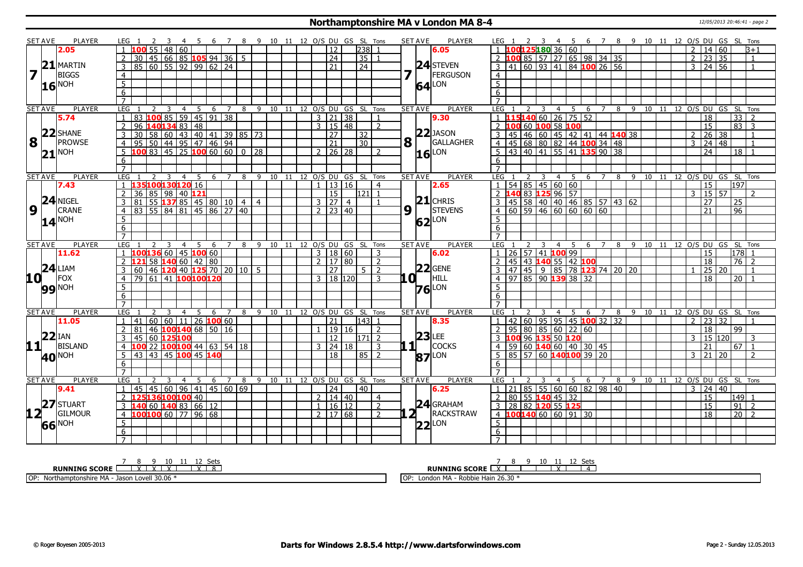#### **Northamptonshire MA v London MA 8-4** 12/05/2013 20:46:41 - page 2

|                         | <b>SET AVE</b> | <b>PLAYER</b>     | LEG                 |                 |                 |   |                                       |                |     |     |     |                |                          |                                          |                                  |       |                |                      |         |                 | 5 6 7 8 9 10 11 12 O/S DU GS SL Tons | <b>SET AVE</b> |                | <b>PLAYER</b>       | LEG 1            |      |   | -4             |                                       |     |                |   |     | 5 6 7 8 9 10 11 12 O/S DU GS SL Tons |      |  |                |                            |      |                   |                            |  |
|-------------------------|----------------|-------------------|---------------------|-----------------|-----------------|---|---------------------------------------|----------------|-----|-----|-----|----------------|--------------------------|------------------------------------------|----------------------------------|-------|----------------|----------------------|---------|-----------------|--------------------------------------|----------------|----------------|---------------------|------------------|------|---|----------------|---------------------------------------|-----|----------------|---|-----|--------------------------------------|------|--|----------------|----------------------------|------|-------------------|----------------------------|--|
|                         |                | 2.05              |                     |                 |                 |   | $55$   48   60                        |                |     |     |     |                |                          |                                          |                                  |       |                | 12                   |         | $ 238 $ 1       |                                      |                |                | 6.05                | $\blacksquare$ 1 |      |   |                | 100125180 36 60                       |     |                |   |     |                                      |      |  | $\mathcal{P}$  | 14 60                      |      |                   | B+1                        |  |
|                         |                |                   | $\overline{2}$      |                 |                 |   | 30   45   66   85   105   94   36   5 |                |     |     |     |                |                          |                                          |                                  |       |                | $\sqrt{24}$          |         | 35 1            |                                      |                |                |                     |                  |      |   |                | 2 <b>100</b> 85 57 27 65 98 34 35     |     |                |   |     |                                      |      |  | 2              | 23                         | l 35 |                   | $\overline{1}$             |  |
|                         | $\mathbf{21}$  | <b>MARTIN</b>     | 3                   |                 |                 |   | 85   60   55   92   99   62   24      |                |     |     |     |                |                          |                                          |                                  |       |                | $\overline{21}$      |         | $\overline{24}$ |                                      |                |                | $24$ STEVEN         |                  |      |   |                | 41 60 93 41 84 100 26 56              |     |                |   |     |                                      |      |  | $\mathcal{E}$  | $24 \overline{56}$         |      |                   | $\mathbf{1}$               |  |
| $\overline{\mathbf{z}}$ |                | <b>BIGGS</b>      | $\overline{4}$      |                 |                 |   |                                       |                |     |     |     |                |                          |                                          |                                  |       |                |                      |         |                 |                                      |                |                | <b>FERGUSON</b>     | $\overline{4}$   |      |   |                |                                       |     |                |   |     |                                      |      |  |                |                            |      |                   |                            |  |
|                         |                |                   | $5\overline{)}$     |                 |                 |   |                                       |                |     |     |     |                |                          |                                          |                                  |       |                |                      |         |                 |                                      |                |                | LON                 | $\overline{5}$   |      |   |                |                                       |     |                |   |     |                                      |      |  |                |                            |      |                   |                            |  |
|                         |                | $16^{\text{NOH}}$ | $6\overline{6}$     |                 |                 |   |                                       |                |     |     |     |                |                          |                                          |                                  |       |                |                      |         |                 |                                      |                | 64             |                     | $6\overline{6}$  |      |   |                |                                       |     |                |   |     |                                      |      |  |                |                            |      |                   |                            |  |
|                         |                |                   | $\overline{7}$      |                 |                 |   |                                       |                |     |     |     |                |                          |                                          |                                  |       |                |                      |         |                 |                                      |                |                |                     | $\overline{7}$   |      |   |                |                                       |     |                |   |     |                                      |      |  |                |                            |      |                   |                            |  |
|                         | <b>SET AVE</b> | PLAYER            | LEG                 |                 |                 | 3 |                                       | 4              | 5   | 6   |     | 7              | 8                        |                                          | 9 10 11                          |       |                |                      |         |                 | 12 O/S DU GS SL Tons                 | <b>SET AVE</b> |                | <b>PLAYER</b>       | LEG              |      |   |                | 4<br>- 5                              | 6   | $\overline{7}$ |   |     | 8 9 10 11 12 0/S DU GS SL Tons       |      |  |                |                            |      |                   |                            |  |
|                         |                | 5.74              |                     |                 |                 |   | 100 85 59 45 91 38                    |                |     |     |     |                |                          |                                          |                                  |       |                | 3   21   38          |         |                 | -1                                   |                |                | 9.30                | $\overline{1}$   |      |   |                | 15140602675552                        |     |                |   |     |                                      |      |  |                | 18                         |      | 33                | $\overline{z}$             |  |
|                         |                |                   | 2                   |                 |                 |   | 96 140 134 83 48                      |                |     |     |     |                |                          |                                          |                                  |       |                | $3 \mid 15 \mid 48$  |         |                 | $\overline{2}$                       |                |                |                     | $\overline{z}$   |      |   |                | 100 60 100 58 100                     |     |                |   |     |                                      |      |  |                | $\overline{15}$            |      | $\overline{83}$   | $\overline{3}$             |  |
|                         |                | $22$ SHANE        | 3                   | $\overline{30}$ |                 |   |                                       |                |     |     |     |                |                          | 58 60 43 40 41 39 85 73                  |                                  |       |                | $\overline{27}$      |         | 32 <sup>2</sup> |                                      |                |                | $22$ JASON          | 3                | 45   |   |                | 46 60 45 42 41 44 140 38              |     |                |   |     |                                      |      |  | $\mathcal{L}$  | 26                         | 38   |                   |                            |  |
| 8                       |                | PROWSE            | $\overline{4}$      | 95 l            |                 |   | 50   44   95   47   46   94           |                |     |     |     |                |                          |                                          |                                  |       |                | $\overline{21}$      |         | $\overline{30}$ |                                      |                | $8\sqrt{1}$    | GALLAGHER           | $\overline{4}$   |      |   |                | 45 68 80 82 44 100 34 48              |     |                |   |     |                                      |      |  | $\overline{3}$ | 24   48                    |      |                   | -1                         |  |
|                         |                | <b>NOH</b>        | 5                   |                 |                 |   |                                       |                |     |     |     |                |                          | 83   45   25 <b>100</b> 60   60   0   28 |                                  |       | $\mathcal{P}$  |                      | 26 28   |                 | $\overline{z}$                       |                |                | LON                 | 5                | 43   |   |                | 40 41 55 41 135 90 38                 |     |                |   |     |                                      |      |  |                | $\overline{24}$            |      | 18                |                            |  |
|                         | 21             |                   | 6                   |                 |                 |   |                                       |                |     |     |     |                |                          |                                          |                                  |       |                |                      |         |                 |                                      |                | 16             |                     | 6                |      |   |                |                                       |     |                |   |     |                                      |      |  |                |                            |      |                   |                            |  |
|                         |                |                   |                     |                 |                 |   |                                       |                |     |     |     |                |                          |                                          |                                  |       |                |                      |         |                 |                                      |                |                |                     |                  |      |   |                |                                       |     |                |   |     |                                      |      |  |                |                            |      |                   |                            |  |
|                         | <b>SET AVE</b> | <b>PLAYER</b>     | LEG                 |                 |                 | 3 | $\overline{4}$                        |                | 5   |     | 6 7 |                |                          |                                          | 8 9 10 11 12 0/S DU GS SL Tons   |       |                |                      |         |                 |                                      |                | <b>SET AVE</b> | <b>PLAYER</b>       | LEG              |      | 3 | $\overline{4}$ | 5                                     |     | 6 7            | 8 | - 9 |                                      |      |  |                |                            |      |                   | 10 11 12 O/S DU GS SL Tons |  |
|                         |                | 7.43              |                     |                 |                 |   | L35100130120 16                       |                |     |     |     |                |                          |                                          |                                  |       |                |                      | 13 16   |                 | $\overline{4}$                       |                |                | 2.65                |                  |      |   |                | $54$ 85 45 60 60                      |     |                |   |     |                                      |      |  |                | 15                         |      | 197               |                            |  |
|                         |                |                   | 2                   | 36              |                 |   | 85 98 40 121                          |                |     |     |     |                |                          |                                          |                                  |       |                | 15                   |         | 1121   1        |                                      |                |                |                     | <sup>2</sup>     |      |   |                | 40 83 125 96 57                       |     |                |   |     |                                      |      |  | 3              | 15 57                      |      |                   | $\mathcal{P}$              |  |
|                         |                | $24$ NIGEL        | $\mathbf{3}$        | 81              |                 |   |                                       |                |     |     |     |                |                          | 55 <b>137</b> 85   45   80   10   4   4  |                                  |       |                | 3 27 4               |         |                 | $\mathbf{1}$                         |                |                | $21$ CHRIS          | 3                |      |   |                | 45 58 40 40 46 85 57 43 62            |     |                |   |     |                                      |      |  |                | $\overline{27}$            |      | 25                |                            |  |
| 9                       |                | <b>CRANE</b>      | $\overline{4}$      | $\overline{83}$ |                 |   | 55 84 81 45 86 27 40                  |                |     |     |     |                |                          |                                          |                                  |       |                | $2$   23   40        |         |                 |                                      | 9              |                | <b>STEVENS</b>      | $\overline{4}$   |      |   |                |                                       |     |                |   |     |                                      |      |  |                | 21                         |      | $\overline{96}$   |                            |  |
|                         |                |                   | $\overline{5}$      |                 |                 |   |                                       |                |     |     |     |                |                          |                                          |                                  |       |                |                      |         |                 |                                      |                |                |                     | 5                |      |   |                |                                       |     |                |   |     |                                      |      |  |                |                            |      |                   |                            |  |
|                         |                | $14^{\text{NOH}}$ | 6                   |                 |                 |   |                                       |                |     |     |     |                |                          |                                          |                                  |       |                |                      |         |                 |                                      |                | 62             | LON                 | 6                |      |   |                |                                       |     |                |   |     |                                      |      |  |                |                            |      |                   |                            |  |
|                         |                |                   | $\overline{7}$      |                 |                 |   |                                       |                |     |     |     |                |                          |                                          |                                  |       |                |                      |         |                 |                                      |                |                |                     | $\overline{7}$   |      |   |                |                                       |     |                |   |     |                                      |      |  |                |                            |      |                   |                            |  |
|                         | <b>SET AVE</b> | <b>PLAYER</b>     | <b>LEG</b>          |                 |                 |   |                                       | $\overline{4}$ | - 5 | - 6 |     |                |                          |                                          | 7 8 9 10 11 12 O/S DU GS SL Tons |       |                |                      |         |                 |                                      |                | <b>SET AVE</b> | <b>PLAYER</b>       | $LEG$ 1          |      |   | $\overline{4}$ | 5                                     | - 6 | $\overline{7}$ |   | 89  |                                      |      |  |                | 10 11 12 O/S DU GS SL Tons |      |                   |                            |  |
|                         |                | 11.62             |                     |                 |                 |   | 00136 60 45 100 60                    |                |     |     |     |                |                          |                                          |                                  |       |                | 3   18   60          |         |                 | 3                                    |                |                | 6.02                | l 1.             |      |   |                | 26 57 41 100 99                       |     |                |   |     |                                      |      |  |                | 15                         |      | $178$ 1           |                            |  |
|                         |                |                   |                     | 121             |                 |   | 58 <b>140</b> 60 42 80                |                |     |     |     |                |                          |                                          |                                  |       | $\overline{2}$ |                      | $17$ 80 |                 | $\overline{2}$                       |                |                |                     |                  |      |   |                | 45 43 140 55 42 100                   |     |                |   |     |                                      |      |  |                | 18                         |      | $76$   2          |                            |  |
|                         |                | $24$ LIAM         |                     | 60              |                 |   |                                       |                |     |     |     |                | 46 120 40 125 70 20 10 5 |                                          |                                  |       |                | 27                   |         | $5 \mid 2$      |                                      |                |                | $22$ GENE           |                  | 47   |   |                | 45   9   85   78   123   74   20   20 |     |                |   |     |                                      |      |  |                | $25 \mid 20$               |      |                   |                            |  |
| 10 <sup>1</sup>         |                | <b>FOX</b>        | $\overline{4}$      |                 |                 |   | 79 61 41 100 100 120                  |                |     |     |     |                |                          |                                          |                                  |       |                | $3 \mid 18 \mid 120$ |         |                 | $\mathbf{R}$                         |                | LOH            | HILL                | $\overline{4}$   |      |   |                | 97   85   90   139   38   32          |     |                |   |     |                                      |      |  |                | 18                         |      | $20$   1          |                            |  |
|                         |                |                   | 5 <sup>5</sup>      |                 |                 |   |                                       |                |     |     |     |                |                          |                                          |                                  |       |                |                      |         |                 |                                      |                |                |                     | .5.              |      |   |                |                                       |     |                |   |     |                                      |      |  |                |                            |      |                   |                            |  |
|                         |                | <b>99 NOH</b>     | $6\overline{6}$     |                 |                 |   |                                       |                |     |     |     |                |                          |                                          |                                  |       |                |                      |         |                 |                                      |                |                | $76$ <sup>LON</sup> | 6                |      |   |                |                                       |     |                |   |     |                                      |      |  |                |                            |      |                   |                            |  |
|                         |                |                   | $\overline{7}$      |                 |                 |   |                                       |                |     |     |     |                |                          |                                          |                                  |       |                |                      |         |                 |                                      |                |                |                     | $\overline{7}$   |      |   |                |                                       |     |                |   |     |                                      |      |  |                |                            |      |                   |                            |  |
|                         | <b>SET AVE</b> | <b>PLAYER</b>     | <b>LEG</b>          |                 |                 |   |                                       | $\overline{4}$ | -5  | 6   |     | $\overline{7}$ |                          |                                          | 8 9 10 11 12 O/S DU              |       |                |                      |         |                 | GS SL Tons                           | <b>SET AVE</b> |                | <b>PLAYER</b>       | <b>LEG</b>       |      |   | 4              | -5                                    | -6  | $\overline{7}$ | 8 | - 9 |                                      |      |  |                | 10 11 12 O/S DU GS SL Tons |      |                   |                            |  |
|                         |                | 11.05             | -1                  | 41              | 60 <sup>1</sup> |   | 60   11   26 <b>100</b> 60            |                |     |     |     |                |                          |                                          |                                  |       |                | 21                   |         | 143  1          |                                      |                |                | 8.35                | $\vert 1 \vert$  | 42   |   |                | 60   95   95   45 <b>100</b> 32   32  |     |                |   |     |                                      |      |  | $\mathcal{P}$  | 23                         | 32   |                   |                            |  |
|                         |                |                   | $\overline{2}$      | 81              |                 |   | 46 100 140 68 50 16                   |                |     |     |     |                |                          |                                          |                                  |       |                |                      | 19 16   |                 | $\overline{z}$                       |                |                |                     | $\overline{2}$   |      |   |                | 95 80 85 60 22 60                     |     |                |   |     |                                      |      |  |                | $\overline{18}$            |      | 99                |                            |  |
|                         | $22$ IAN       |                   | 3                   | 45              |                 |   | 60 125100                             |                |     |     |     |                |                          |                                          |                                  |       |                | $\overline{12}$      |         | 171 2           |                                      |                |                | $23$ LEE            |                  |      |   |                | 96 135 50 120                         |     |                |   |     |                                      |      |  | 3              | 15 120                     |      |                   | 3                          |  |
|                         |                | $11$   BISLAND    |                     |                 |                 |   | 22 <b>100100</b> 44 63 54 18          |                |     |     |     |                |                          |                                          |                                  |       | 3              |                      | 24 18   |                 | 3                                    |                | 1              | <b>COCKS</b>        |                  | 59 l |   |                | 60 140 60 40 30 45                    |     |                |   |     |                                      |      |  |                | 21                         |      | 67                | $\overline{1}$             |  |
|                         |                |                   | -5                  |                 |                 |   | 43 43 45 100 45 140                   |                |     |     |     |                |                          |                                          |                                  |       |                | 18                   |         | $85$   2        |                                      |                |                |                     | 5                |      |   |                | 85 57 60 140100 39 20                 |     |                |   |     |                                      |      |  | $\mathbf{3}$   | $\overline{21}$            | 20   |                   | $\mathcal{P}$              |  |
|                         |                | 40 <sup>NOH</sup> |                     |                 |                 |   |                                       |                |     |     |     |                |                          |                                          |                                  |       |                |                      |         |                 |                                      |                |                | <b>87</b> LON       |                  |      |   |                |                                       |     |                |   |     |                                      |      |  |                |                            |      |                   |                            |  |
|                         |                |                   | 6<br>$\overline{7}$ |                 |                 |   |                                       |                |     |     |     |                |                          |                                          |                                  |       |                |                      |         |                 |                                      |                |                |                     | 6                |      |   |                |                                       |     |                |   |     |                                      |      |  |                |                            |      |                   |                            |  |
|                         | <b>SET AVE</b> | <b>PLAYER</b>     | <b>LEG</b>          |                 |                 |   |                                       |                | 5   |     |     | $7^{\circ}$    | 8                        | $\mathsf{q}$                             | 10                               | $-11$ |                |                      |         |                 | 12 O/S DU GS SL Tons                 |                | <b>SET AVE</b> | <b>PLAYER</b>       | LEG              |      |   |                | -5                                    | 6   | $\overline{7}$ |   |     |                                      | - 11 |  |                | 12 O/S DU GS SL Tons       |      |                   |                            |  |
|                         |                | 9.41              | $\mathbf{1}$        | 45              |                 |   | 45 60 96 41 45 60 69                  | $\overline{4}$ |     | 6   |     |                |                          |                                          |                                  |       |                | 24                   |         | l 40 l          |                                      |                |                | 6.25                | $\overline{1}$   |      |   | 4              | 21   85   55   60   60   82   98   40 |     |                | 8 |     | 9 10                                 |      |  | 3              | 24 40                      |      |                   |                            |  |
|                         |                |                   | 2                   |                 |                 |   | 125136100100 40                       |                |     |     |     |                |                          |                                          |                                  |       | 2              |                      | 14   40 |                 |                                      |                |                |                     | 2                |      |   |                | 80 55 140 45 32                       |     |                |   |     |                                      |      |  |                | 15                         |      | 149 1             |                            |  |
|                         |                | $27$ STUART       | 3                   |                 |                 |   |                                       |                |     |     |     |                |                          |                                          |                                  |       |                |                      | $16$ 12 |                 | 4<br>$\overline{2}$                  |                |                | $24$ GRAHAM         |                  |      |   |                | 3 28 82 120 55 125                    |     |                |   |     |                                      |      |  |                | $\overline{15}$            |      | 91                | $\overline{z}$             |  |
|                         |                | <b>GILMOUR</b>    |                     |                 |                 |   | 140601408366112<br>LOO100 60 77 96 68 |                |     |     |     |                |                          |                                          |                                  |       | $\overline{1}$ | 2   17   68          |         |                 |                                      |                | 2 <sub>1</sub> | <b>IRACKSTRAW</b>   |                  |      |   |                | $4$ 100 140 60 60 91 30               |     |                |   |     |                                      |      |  |                | $\overline{18}$            |      | $\overline{20}$ 2 |                            |  |
|                         |                |                   | 4                   |                 |                 |   |                                       |                |     |     |     |                |                          |                                          |                                  |       |                |                      |         |                 | $\mathcal{L}$                        |                |                |                     |                  |      |   |                |                                       |     |                |   |     |                                      |      |  |                |                            |      |                   |                            |  |
|                         |                | 66 NOH            | 5                   |                 |                 |   |                                       |                |     |     |     |                |                          |                                          |                                  |       |                |                      |         |                 |                                      |                | 22             | LON                 | 5                |      |   |                |                                       |     |                |   |     |                                      |      |  |                |                            |      |                   |                            |  |
|                         |                |                   | 6                   |                 |                 |   |                                       |                |     |     |     |                |                          |                                          |                                  |       |                |                      |         |                 |                                      |                |                |                     | 6                |      |   |                |                                       |     |                |   |     |                                      |      |  |                |                            |      |                   |                            |  |
|                         |                |                   | $\overline{7}$      |                 |                 |   |                                       |                |     |     |     |                |                          |                                          |                                  |       |                |                      |         |                 |                                      |                |                |                     | $7^{\circ}$      |      |   |                |                                       |     |                |   |     |                                      |      |  |                |                            |      |                   |                            |  |

**RUNNING SCORE**  $\begin{array}{|c|c|c|c|c|c|}\n\hline\n\text{7} & 8 & 9 & 10 & 11 & 12 & \text{Sets} \\
\hline\n\text{RUNNING SCORE} & & & & \times & \times & \times & \times & \times & \times & \text{8} \\
\hline\n\end{array}$ 

OP: Northamptonshire MA - Jason Lovell 30.06 \*

**RUNNING SCORE** 7 X 8 9 10 11 X 12 Sets 4

OP: London MA - Robbie Hain 26.30 \*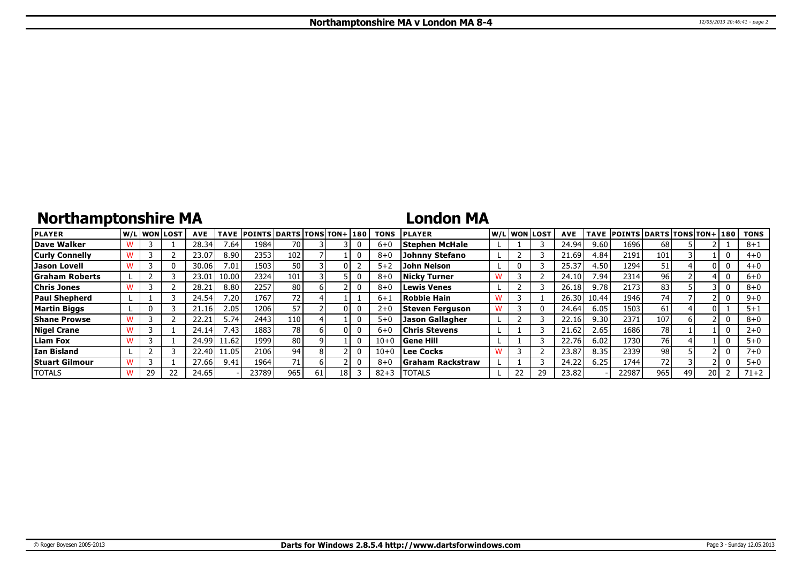# **Northamptonshire MA**

### **London MA**

| <b>PLAYER</b>         |    | lw/Llwonllost | <b>AVE</b> | <b>TAVE</b> | <b>POINTS DARTS TONS TON+1180</b> |                 |    |    | <b>TONS</b> | <b>PLAYER</b>            |  | W/L WON LOST | <b>AVE</b> |       | TAVE POINTS DARTS TONS TON+ 180 |                 |    |      | <b>TONS</b> |
|-----------------------|----|---------------|------------|-------------|-----------------------------------|-----------------|----|----|-------------|--------------------------|--|--------------|------------|-------|---------------------------------|-----------------|----|------|-------------|
| Dave Walker           |    |               | 28.34      | 7.64.       | 1984                              | 70              |    |    | $6 + 0$     | <b>Stephen McHale</b>    |  |              | 24.94      | 9.60  | 1696                            | 68              |    |      | $8 + 1$     |
| <b>Curly Connelly</b> |    |               | 23.07      | 8.90        | 2353                              | 102             |    |    | $8 + C$     | <b>Johnny Stefano</b>    |  |              | 21.69      | 4.84  | 2191                            | 101             |    |      | $4 + 0$     |
| <b>Jason Lovell</b>   |    |               | 30.06      | 7.01        | 1503                              | 50              |    |    | $5 + 2$     | <b>John Nelson</b>       |  |              | 25.37      | 4.50  | 1294                            | 51              |    |      | $4 + 0$     |
| <b>Graham Roberts</b> |    |               | 23.01      | 10.00       | 2324                              | 101             |    |    | $8 + C$     | <b>Nicky Turner</b>      |  |              | 24.10      | 7.94  | 2314                            | 96 <sub>1</sub> |    |      | $6 + 0$     |
| <b>Chris Jones</b>    |    |               | 28.21      | 8.80        | 2257                              | 80              |    |    | $8 + 6$     | <b>Lewis Venes</b>       |  |              | 26.18      | 9.78  | 2173                            | 83              |    |      | $8 + 0$     |
| <b>Paul Shepherd</b>  |    |               | 24.54      | 7.20        | 1767                              | 72              |    |    | $6 + 1$     | Robbie Hain              |  |              | 26.30      | 10.44 | 1946                            | 74              |    |      | $9 + 0$     |
| <b>Martin Biggs</b>   |    |               | .16        | 2.05        | 1206                              | 57              |    |    | $2 + C$     | Steven Ferguson          |  |              | 24.64      | 6.05  | 1503                            | 61              |    |      | $5 + 1$     |
| <b>Shane Prowse</b>   |    |               | 22.21      | 5.74        | 2443                              | 110             |    |    | $5 + C$     | <b>Jason Gallagher</b>   |  |              | 22.16      | 9.30  | 2371                            | 107             |    |      | $8 + 0$     |
| <b>Nigel Crane</b>    |    |               | 24.14      | 7.43        | 1883                              | 78              |    |    | $6 + C$     | <b>Chris Stevens</b>     |  |              | 21.62      | 2.65  | 1686                            | 78              |    |      | $2 + 0$     |
| <b>Liam Fox</b>       |    |               | 24.99      | 1.62        | 1999                              | 80              |    |    | $10 + 0$    | <b>Gene Hill</b>         |  |              | 22.76      | 6.02  | 1730                            | 76              |    |      | $5+0$       |
| l Ian Bisland         |    |               | 22.40      | 1.05        | 2106                              | 94 <sub>1</sub> |    |    | $10 + 0$    | Lee Cocks                |  |              | 23.87      | 8.35  | 2339                            | 98              |    |      | $7 + 0$     |
| <b>Stuart Gilmour</b> |    |               | 27.66      | 9.41        | 1964                              | 71              |    |    | $8 + 6$     | <b>S</b> raham Rackstraw |  |              | 24.22      | 6.25  | 1744                            | 72 <sub>1</sub> |    |      | $5 + 0$     |
| <b>TOTALS</b>         | 29 |               | 24.65      |             | 23789                             | 965             | 61 | 18 | $82 + 3$    | <b>TOTALS</b>            |  |              | 23.82      |       | 22987                           | 965             | 49 | 20 I | $71 + 2$    |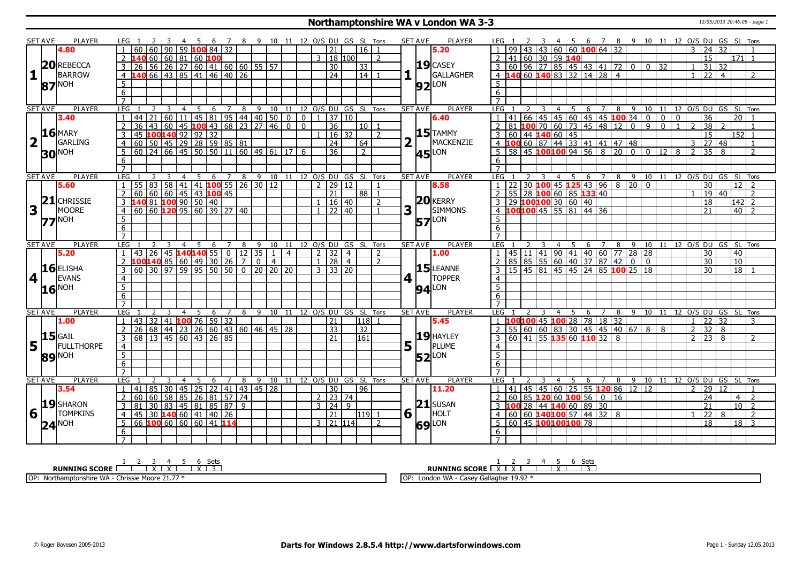#### **Northamptonshire WA v London WA 3-3** 12/05/2013 20:46:05 - page 1

|                         | <b>SET AVE</b> | PLAYER                |                     |                                                                          |   |                         | - 5            | - 6                     |                                                                              |   | 7 8 9 10 11 12 O/S DU GS SL Tons |                              |                |                           |                         |                     |                    |                |                | <b>SET AVE</b>        | <b>PLAYER</b>         |                     |                 |                |                |                 |                              |                                                                               |   |                                                                |                                                         |                |                           |                |                   |                 | 4 5 6 7 8 9 10 11 12 O/S DU GS SL Tons          |                                    |
|-------------------------|----------------|-----------------------|---------------------|--------------------------------------------------------------------------|---|-------------------------|----------------|-------------------------|------------------------------------------------------------------------------|---|----------------------------------|------------------------------|----------------|---------------------------|-------------------------|---------------------|--------------------|----------------|----------------|-----------------------|-----------------------|---------------------|-----------------|----------------|----------------|-----------------|------------------------------|-------------------------------------------------------------------------------|---|----------------------------------------------------------------|---------------------------------------------------------|----------------|---------------------------|----------------|-------------------|-----------------|-------------------------------------------------|------------------------------------|
|                         |                | 4.80                  |                     | 60                                                                       |   |                         |                |                         | 90 59 100 84 32                                                              |   |                                  |                              |                |                           |                         | 21                  | 16 I               |                |                |                       | 5.20                  |                     |                 |                |                |                 |                              | 43 43 60 60 100 64 32                                                         |   |                                                                |                                                         |                |                           |                | 24                | 32              |                                                 |                                    |
|                         |                |                       |                     |                                                                          |   |                         |                | $60   60   81   60$ 100 |                                                                              |   |                                  |                              |                |                           |                         | 3   18   100        |                    | $\overline{z}$ |                |                       |                       | $\overline{2}$      |                 |                |                | 41 60 30 59 140 |                              |                                                                               |   |                                                                |                                                         |                |                           |                | 15                |                 |                                                 | 171  1                             |
|                         |                | 20REBECCA             | 3                   | $\overline{26}$                                                          |   |                         |                |                         |                                                                              |   | 56 26 27 60 41 60 60 55 57       |                              |                |                           |                         | 30                  | $ 33\rangle$       |                |                |                       | $19$ CASEY            |                     |                 |                |                |                 |                              |                                                                               |   |                                                                | $\overline{0}$                                          | 32             |                           |                | 31                | 32              |                                                 |                                    |
| $\mathbf{1}$            |                | <b>BARROW</b>         | $\overline{4}$      | <b>140</b> 66 43 85 41 46 40 26                                          |   |                         |                |                         |                                                                              |   |                                  |                              |                |                           |                         | $\overline{24}$     | $\vert 14 \vert 1$ |                |                | $\mathbf{H}$          | GALLAGHER             |                     |                 |                |                |                 |                              |                                                                               |   |                                                                |                                                         |                |                           |                | $1 \overline{22}$ | $\overline{4}$  |                                                 | $\overline{2}$                     |
|                         |                |                       | 5                   |                                                                          |   |                         |                |                         |                                                                              |   |                                  |                              |                |                           |                         |                     |                    |                |                |                       |                       | 5 <sup>5</sup>      |                 |                |                |                 |                              |                                                                               |   |                                                                |                                                         |                |                           |                |                   |                 |                                                 |                                    |
|                         |                | $87$ <sup>NOH</sup>   | $\overline{6}$      |                                                                          |   |                         |                |                         |                                                                              |   |                                  |                              |                |                           |                         |                     |                    |                |                |                       | $92$ <sup>LON</sup>   | 6                   |                 |                |                |                 |                              |                                                                               |   |                                                                |                                                         |                |                           |                |                   |                 |                                                 |                                    |
|                         |                |                       | $\overline{7}$      |                                                                          |   |                         |                |                         |                                                                              |   |                                  |                              |                |                           |                         |                     |                    |                |                |                       |                       | $\overline{7}$      |                 |                |                |                 |                              |                                                                               |   |                                                                |                                                         |                |                           |                |                   |                 |                                                 |                                    |
|                         | <b>SET AVE</b> | <b>PLAYER</b>         | LEG                 |                                                                          |   |                         |                |                         |                                                                              |   |                                  |                              |                |                           |                         |                     |                    |                |                | <b>SET AVE</b>        | <b>PLAYER</b>         | LEG <sub>1</sub>    |                 | $\overline{3}$ |                |                 |                              |                                                                               |   |                                                                |                                                         |                |                           |                |                   |                 | 4 5 6 7 8 9 10 11 12 O/S DU GS SL Tons          |                                    |
|                         |                | 3.40                  | $\mathbf{1}$        | 44                                                                       |   |                         |                |                         |                                                                              |   |                                  |                              |                |                           |                         |                     |                    |                |                |                       | 6.40                  |                     |                 |                |                |                 |                              |                                                                               |   |                                                                |                                                         | $\overline{0}$ | $\overline{\mathfrak{o}}$ |                | $\overline{36}$   |                 | $\overline{20}$                                 | $\overline{1}$                     |
|                         |                |                       | $\overline{2}$      | 36                                                                       |   |                         |                |                         |                                                                              |   |                                  |                              |                | $\overline{\mathfrak{o}}$ |                         | 36                  | $10$   1           |                |                |                       |                       | $\overline{2}$      |                 |                |                |                 |                              |                                                                               |   | 141 66 45 45 60 45 45 100 34 0<br>81 100 70 60 73 45 48 12 0 9 |                                                         | $\overline{0}$ | $\mathbf{1}$              | $\overline{2}$ | $\overline{38}$   | $\mathcal{D}$   |                                                 | $\overline{1}$                     |
|                         |                | $16$ MARY             | $\overline{3}$      | 45                                                                       |   |                         |                | 100140 92 92 32         |                                                                              |   |                                  |                              |                |                           |                         | 16 32               |                    | $\overline{z}$ |                |                       | $15$ TAMMY            | 3 <sup>1</sup>      |                 |                |                |                 |                              |                                                                               |   |                                                                |                                                         |                |                           |                | $\overline{15}$   |                 | $152$ 1                                         |                                    |
| $\overline{\mathbf{2}}$ |                | GARLING               | 4                   | $60$ 50 45 29 28 59 85 81                                                |   |                         |                |                         |                                                                              |   |                                  |                              |                |                           |                         | $ 24\rangle$        | 64                 |                |                |                       | MACKENZIE             |                     |                 |                |                |                 |                              |                                                                               |   | 60 44 <b>140</b> 60 45<br><b>100</b> 60 87 44 33 41 41 47 48   |                                                         |                |                           |                | 3 27              | 48              |                                                 | $\overline{1}$                     |
|                         |                |                       | 5                   | $60$   24   66   45   50   50   11   60   49   61   17   6               |   |                         |                |                         |                                                                              |   |                                  |                              |                |                           |                         | $\overline{36}$     | $\overline{2}$     |                |                |                       |                       |                     |                 |                |                |                 |                              |                                                                               |   |                                                                | $\overline{5}$ 58 45 <b>100 100</b> 94 56 8 20 0 0 12 8 |                |                           | $\overline{2}$ | 35 <sup>1</sup>   | 8               |                                                 | $\overline{2}$                     |
|                         |                | <b>30 NOH</b>         |                     |                                                                          |   |                         |                |                         |                                                                              |   |                                  |                              |                |                           |                         |                     |                    |                |                |                       | $45$ <sup>LON</sup>   |                     |                 |                |                |                 |                              |                                                                               |   |                                                                |                                                         |                |                           |                |                   |                 |                                                 |                                    |
|                         |                |                       | 6<br>$\overline{7}$ |                                                                          |   |                         |                |                         |                                                                              |   |                                  |                              |                |                           |                         |                     |                    |                |                |                       |                       | 6<br>$\overline{7}$ |                 |                |                |                 |                              |                                                                               |   |                                                                |                                                         |                |                           |                |                   |                 |                                                 |                                    |
|                         |                |                       |                     |                                                                          |   |                         |                |                         |                                                                              |   |                                  |                              |                |                           |                         |                     |                    |                |                |                       |                       |                     |                 |                |                |                 |                              |                                                                               |   |                                                                |                                                         |                |                           |                |                   |                 |                                                 |                                    |
|                         | <b>SET AVE</b> | <b>PLAYER</b><br>5.60 | LEG<br>$\mathbf{1}$ | $\overline{55}$<br>83                                                    |   | $\overline{4}$          | 5 <sub>5</sub> |                         | $6 \quad 7 \quad 8$                                                          |   | 58 41 41 100 55 26 30 12         | 9 10 11 12 0/S DU GS SL Tons |                |                           |                         | 2   29   12         |                    |                |                | <b>SET AVE</b>        | <b>PLAYER</b><br>8.58 | LEG <sub>1</sub>    | $\overline{22}$ |                | $\overline{4}$ |                 |                              | 5 6 7                                                                         | 8 | 30 $100$ 45 $125$ 43 96 8 20 0                                 |                                                         |                |                           |                | $\overline{30}$   |                 | 9 10 11 12 0/S DU GS SL Tons<br>12 <sub>1</sub> | $\overline{z}$                     |
|                         |                |                       |                     |                                                                          |   |                         |                |                         |                                                                              |   |                                  |                              |                |                           |                         | $\overline{21}$     | $88$   1           |                |                |                       |                       |                     |                 |                |                |                 |                              |                                                                               |   |                                                                |                                                         |                |                           |                | 19                | $\overline{40}$ |                                                 | $\overline{2}$                     |
|                         |                | $21$ CHRISSIE         | $\overline{2}$      | 00 60 60 45 43 100 45<br>140 81 100 90 50 40<br>60 60 120 95 60 39 27 40 |   |                         |                |                         |                                                                              |   |                                  |                              |                |                           |                         |                     |                    |                |                |                       | $20$ <b>KERRY</b>     | 2                   |                 |                |                |                 |                              | 55 28 100 60 85 133 40                                                        |   |                                                                |                                                         |                |                           |                |                   |                 |                                                 |                                    |
|                         |                | <b>MOORE</b>          | 3                   |                                                                          |   |                         |                |                         |                                                                              |   |                                  |                              |                |                           | $\mathbf{1}$            | 1 16 40<br> 22 40   |                    | $\overline{2}$ |                |                       | <b>SIMMONS</b>        |                     |                 |                |                |                 |                              | 3 29 100100 30 60 40<br>4 100100 45 55 81 44 36                               |   |                                                                |                                                         |                |                           |                | 18                |                 |                                                 | $142$ 2<br>$\overline{2}$          |
| 3                       |                |                       | $\overline{4}$      |                                                                          |   |                         |                |                         |                                                                              |   |                                  |                              |                |                           |                         |                     |                    |                | 3              |                       |                       |                     |                 |                |                |                 |                              |                                                                               |   |                                                                |                                                         |                |                           |                | $\overline{21}$   |                 | 40                                              |                                    |
|                         |                | $77$ <sup>NOH</sup>   | $\overline{5}$      |                                                                          |   |                         |                |                         |                                                                              |   |                                  |                              |                |                           |                         |                     |                    |                |                | 57                    | LON                   | 5 <sup>1</sup>      |                 |                |                |                 |                              |                                                                               |   |                                                                |                                                         |                |                           |                |                   |                 |                                                 |                                    |
|                         |                |                       | $\overline{6}$      |                                                                          |   |                         |                |                         |                                                                              |   |                                  |                              |                |                           |                         |                     |                    |                |                |                       |                       | 6                   |                 |                |                |                 |                              |                                                                               |   |                                                                |                                                         |                |                           |                |                   |                 |                                                 |                                    |
|                         |                |                       | $\overline{7}$      |                                                                          |   |                         |                |                         |                                                                              |   |                                  |                              |                |                           |                         |                     |                    |                |                |                       | <b>PLAYER</b>         | LEG <sub>1</sub>    |                 |                |                |                 |                              |                                                                               |   |                                                                |                                                         |                |                           |                |                   |                 |                                                 |                                    |
|                         |                |                       |                     |                                                                          |   |                         |                |                         |                                                                              |   |                                  |                              |                |                           |                         |                     |                    |                |                | <b>SET AVE</b>        |                       |                     |                 |                | 4              | 5               |                              |                                                                               |   |                                                                |                                                         |                |                           |                |                   |                 |                                                 | 6 7 8 9 10 11 12 0/S DU GS SL Tons |
|                         | <b>SET AVE</b> | <b>PLAYER</b>         | <b>LEG</b>          |                                                                          |   | $\overline{4}$          | -5             | - 6                     | $\overline{7}$                                                               | 8 |                                  | 9 10 11 12 0/S DU GS SL Tons |                |                           |                         |                     |                    |                |                |                       |                       |                     |                 |                |                |                 |                              |                                                                               |   |                                                                |                                                         |                |                           |                |                   |                 |                                                 |                                    |
|                         |                | 5.20                  |                     | 43                                                                       |   |                         |                |                         |                                                                              |   | 26 45 140 140 55 0 12 35         |                              | $\overline{4}$ |                           |                         | 2 32 4              |                    | $\overline{2}$ |                |                       | 1.00                  |                     |                 |                |                |                 |                              |                                                                               |   |                                                                |                                                         |                |                           |                | 30                |                 | 40                                              |                                    |
|                         |                |                       |                     | <mark>100</mark> 140 85 60 49 30 26 7                                    |   |                         |                |                         |                                                                              |   | 0 <sup>1</sup>                   | $\overline{4}$               |                |                           | $\mathbf{1}$            | 28   4              |                    | $\overline{2}$ |                |                       |                       |                     |                 |                |                |                 |                              |                                                                               |   | 45 11 41 90 41 40 60 77 28 28<br>85 85 55 60 40 37 87 42 0 0   |                                                         |                |                           |                | 30                |                 | 10                                              |                                    |
|                         |                | $16$ ELISHA           | 3                   | 60                                                                       |   |                         |                |                         |                                                                              |   | 30 97 59 95 50 50 0 20 20 20     |                              |                |                           |                         | $3 \mid 33 \mid 20$ |                    |                |                |                       | $15$ LEANNE           |                     |                 |                |                |                 |                              |                                                                               |   | 15 45 81 45 45 24 85 100 25 18                                 |                                                         |                |                           |                | 30                |                 | 18 I                                            |                                    |
| $\vert 4 \vert$ i       |                | <b>EVANS</b>          | $\overline{4}$      |                                                                          |   |                         |                |                         |                                                                              |   |                                  |                              |                |                           |                         |                     |                    |                | 4 <sup>1</sup> |                       | <b>TOPPER</b>         | $\overline{4}$      |                 |                |                |                 |                              |                                                                               |   |                                                                |                                                         |                |                           |                |                   |                 |                                                 |                                    |
|                         |                |                       | $\overline{5}$      |                                                                          |   |                         |                |                         |                                                                              |   |                                  |                              |                |                           |                         |                     |                    |                |                |                       | <b>94</b> LON         | 5 <sup>5</sup>      |                 |                |                |                 |                              |                                                                               |   |                                                                |                                                         |                |                           |                |                   |                 |                                                 |                                    |
|                         |                | $16$ <sup>NOH</sup>   | $\overline{6}$      |                                                                          |   |                         |                |                         |                                                                              |   |                                  |                              |                |                           |                         |                     |                    |                |                |                       |                       | $6 \overline{6}$    |                 |                |                |                 |                              |                                                                               |   |                                                                |                                                         |                |                           |                |                   |                 |                                                 |                                    |
|                         |                |                       | $\overline{7}$      |                                                                          |   |                         |                |                         |                                                                              |   |                                  |                              |                |                           |                         |                     |                    |                |                |                       |                       | $\overline{7}$      |                 |                |                |                 |                              |                                                                               |   |                                                                |                                                         |                |                           |                |                   |                 |                                                 |                                    |
|                         | <b>SET AVE</b> | PLAYER                | <b>LEG</b>          |                                                                          | 3 | $\overline{4}$          | 5              | 6                       | 7                                                                            | 8 |                                  | 9 10 11 12 O/S DU GS SL Tons |                |                           |                         |                     |                    |                |                | <b>SET AVE</b>        | <b>PLAYER</b>         |                     |                 |                |                |                 |                              |                                                                               |   | 9                                                              |                                                         |                |                           |                |                   |                 | 10 11 12 0/S DU GS SL Tons                      |                                    |
|                         |                | 1.00                  | $\mathbf{1}$        | $\overline{32}$<br>43                                                    |   |                         |                |                         | 41 100 76 59 32                                                              |   |                                  |                              |                |                           |                         | 21                  | 118 1              |                |                |                       | 5.45                  |                     |                 |                |                |                 |                              | LEG 1 2 3 4 5 6 7 8<br>1 <b>100<mark>100</mark></b> 45 <b>100</b> 28 78 18 32 |   |                                                                |                                                         |                |                           | $\overline{1}$ | $\overline{22}$   | 32              |                                                 | 3                                  |
|                         |                |                       | $\overline{2}$      | 26   68   44   23   26   60   43   60   46   45   28                     |   |                         |                |                         |                                                                              |   |                                  |                              |                |                           |                         | $\overline{33}$     | 32                 |                |                |                       |                       | 2                   |                 |                |                |                 |                              |                                                                               |   |                                                                | 55 60 60 83 30 45 45 40 67 8                            | 8              |                           | <sup>2</sup>   | 32                | 8               |                                                 |                                    |
|                         |                | $15$ GAIL             | 3                   | 68 13 45 60 43 26 85                                                     |   |                         |                |                         |                                                                              |   |                                  |                              |                |                           |                         | $\overline{21}$     | 161                |                |                |                       | 19 HAYLEY             |                     |                 |                |                |                 |                              | $3   60   41   55   135   60   110   32   8$                                  |   |                                                                |                                                         |                |                           | $\overline{2}$ | $ 23\rangle$      | 8               |                                                 | $\overline{2}$                     |
|                         | $5^{\circ}$    | FULLTHORPE            | $\overline{4}$      |                                                                          |   |                         |                |                         |                                                                              |   |                                  |                              |                |                           |                         |                     |                    |                |                | $5^{\mid \cdot \mid}$ | PLUME                 | $\overline{4}$      |                 |                |                |                 |                              |                                                                               |   |                                                                |                                                         |                |                           |                |                   |                 |                                                 |                                    |
|                         |                |                       | 5                   |                                                                          |   |                         |                |                         |                                                                              |   |                                  |                              |                |                           |                         |                     |                    |                |                |                       |                       | $\overline{5}$      |                 |                |                |                 |                              |                                                                               |   |                                                                |                                                         |                |                           |                |                   |                 |                                                 |                                    |
|                         |                | 89 NOH                | 6                   |                                                                          |   |                         |                |                         |                                                                              |   |                                  |                              |                |                           |                         |                     |                    |                |                |                       | $52$ <sup>LON</sup>   | 6                   |                 |                |                |                 |                              |                                                                               |   |                                                                |                                                         |                |                           |                |                   |                 |                                                 |                                    |
|                         |                |                       | $\overline{7}$      |                                                                          |   |                         |                |                         |                                                                              |   |                                  |                              |                |                           |                         |                     |                    |                |                |                       |                       |                     |                 |                |                |                 |                              |                                                                               |   |                                                                |                                                         |                |                           |                |                   |                 |                                                 |                                    |
|                         | <b>SET AVE</b> | <b>PLAYER</b>         | LEG                 |                                                                          |   | $\overline{\mathbf{4}}$ | 5              | 6                       | $\overline{7}$                                                               | 8 |                                  | 9 10                         |                |                           | 11 12 O/S DU GS SL Tons |                     |                    |                |                | <b>SET AVE</b>        | <b>PLAYER</b>         | LEG                 |                 |                | $\overline{4}$ | - 5             | 6                            | $\overline{7}$                                                                | 8 | 9                                                              |                                                         |                |                           |                |                   |                 | 10 11 12 O/S DU GS SL Tons                      |                                    |
|                         |                | 3.54                  | $\mathbf{1}$        | 85<br>41                                                                 |   | 30 45                   |                |                         |                                                                              |   | 25 22 41 43 45 28                |                              |                |                           |                         | 30                  | 96                 |                |                |                       | 11.20                 |                     | 41              |                |                |                 |                              |                                                                               |   | 45 45 60 25 55 120 86 12 12                                    |                                                         |                |                           | $\overline{2}$ | 29                | 12              |                                                 |                                    |
|                         |                |                       | $\overline{2}$      | 60<br>60                                                                 |   |                         |                |                         |                                                                              |   |                                  |                              |                |                           |                         | $2 \mid 23 \mid 74$ |                    |                |                |                       |                       |                     |                 |                |                |                 |                              | $60$ 85 120 60 100 56 0 16                                                    |   |                                                                |                                                         |                |                           |                | 24                |                 | 4 I                                             | $\overline{z}$                     |
|                         |                | 19SHARON              | 3                   | 81                                                                       |   |                         |                |                         | 60 58 85 26 81 57 74<br>30 83 45 81 85 87 9                                  |   |                                  |                              |                |                           |                         | $3 \mid 24 \mid 9$  |                    |                |                |                       | $21$ SUSAN            |                     |                 |                |                |                 |                              | 3 <b>100</b> 28 44 <b>140</b> 60 89 30                                        |   |                                                                |                                                         |                |                           |                | 21                |                 |                                                 | 10 <sup>2</sup>                    |
| 6                       |                | <b>TOMPKINS</b>       | $\overline{4}$      | 45                                                                       |   |                         |                |                         | $30 \overline{140} \overline{60} \overline{141} \overline{40} \overline{26}$ |   |                                  |                              |                |                           |                         | 21                  | $119$ 1            |                | 6 <sup>1</sup> |                       | HOLT                  | $\overline{4}$      |                 |                |                |                 |                              | 60 60 140100 57 44 32 8                                                       |   |                                                                |                                                         |                |                           |                | $\overline{22}$   | 8               |                                                 | $\overline{z}$                     |
|                         |                |                       | 5                   | 66 100 60 60 60 41 114                                                   |   |                         |                |                         |                                                                              |   |                                  |                              |                |                           |                         | 3 21 114            |                    | $\overline{z}$ |                |                       |                       |                     |                 |                |                |                 | 5   60   45   100   100   78 |                                                                               |   |                                                                |                                                         |                |                           |                | $\overline{18}$   |                 |                                                 | $18$ 3                             |
|                         |                | $24^{\text{NOH}}$     | 6                   |                                                                          |   |                         |                |                         |                                                                              |   |                                  |                              |                |                           |                         |                     |                    |                |                |                       | <b>69</b> LON         | 6                   |                 |                |                |                 |                              |                                                                               |   |                                                                |                                                         |                |                           |                |                   |                 |                                                 |                                    |

**RUNNING SCORE**  $\begin{array}{|c|c|c|c|c|}\n\hline\n & 2 & 3 & 4 & 5 & 6 & \text{Sets} \\
\hline\n\end{array}$ OP: Northamptonshire WA - Chrissie Moore 21.77 \*

**RUNNING SCORE**  $\begin{array}{|c|c|c|c|c|}\n\hline\n & 2 & 3 & 4 & 5 & 6 & \text{Sets} \\
\hline\n\textbf{R} & \textbf{NN} & \textbf{NN} & \textbf{NN} & \textbf{NN} & \textbf{NN} \\
\hline\n\end{array}$ 

OP: London WA - Casey Gallagher 19.92 \*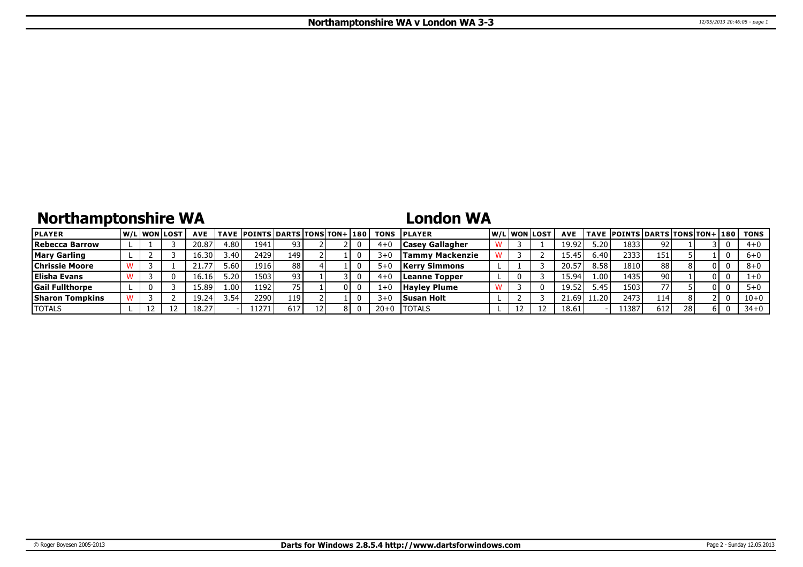## **Northamptonshire WA**

## **London WA**

| <b>PLAYER</b>          |  | <b>W/Liwonilost</b> | <b>AVE</b>           |                  | TAVE POINTS DARTS TONS TON+ 180 |     |  | <b>TONS</b> | <b>IPLAYER</b>         |  | W/Liwonilost | <b>AVE</b> |                   | TAVE  POINTS   DARTS   TONS   TON+   180 |     |    |     | TONS     |
|------------------------|--|---------------------|----------------------|------------------|---------------------------------|-----|--|-------------|------------------------|--|--------------|------------|-------------------|------------------------------------------|-----|----|-----|----------|
| Rebecca Barrow         |  |                     | 20.87                | 4.80             | 1941                            | 93  |  | 4+          | <b>Casey Gallagher</b> |  |              | 19.92      | 20.د              | 1833                                     | 92. |    |     | $4 + 0$  |
| <b>Mary Garling</b>    |  |                     | 16.30'               | 3.40             | 2429                            | 149 |  | 3+          | Tammy Mackenzie        |  |              | 15.45      | 6.40              | 2333                                     | 151 |    |     | $6 + 0$  |
| <b>Chrissie Moore</b>  |  |                     |                      | ا 60. $\epsilon$ | 1916                            | 88  |  |             | <b>Kerry Simmons</b>   |  |              | 20.5       | 8.58              | 1810                                     | 88  |    | 0 I | $8 + 0$  |
| <b>Elisha Evans</b>    |  |                     | 16.16                | 5.20             | 1503                            | 93  |  | 4+          | Leanne Topper          |  |              | 15.94      | 1.00 <sup>1</sup> | 14351                                    | 90  |    | 0 I |          |
| <b>Gail Fullthorpe</b> |  |                     | $15.89$ <sup>1</sup> | 1.00             | 1192                            |     |  |             | <b>Hayley Plume</b>    |  |              | 19.52      | 5.45              | 1503                                     | 77  |    | 0 L |          |
| <b>Sharon Tompkins</b> |  |                     | 1 Q<br>-9.24         | 3.54             | 2290                            | 119 |  | ?∓          | Susan Holt             |  |              | $-1.69$    | $\sim$ 20         | 2473                                     | 114 |    |     | $10 + 0$ |
| <b>TOTALS</b>          |  |                     | 18.27                |                  | 1271                            | 617 |  | $20 + 0$    | <b>ITOTALS</b>         |  |              | 18.61      |                   | 11387                                    | 612 | 28 | 6 I | $34 + 0$ |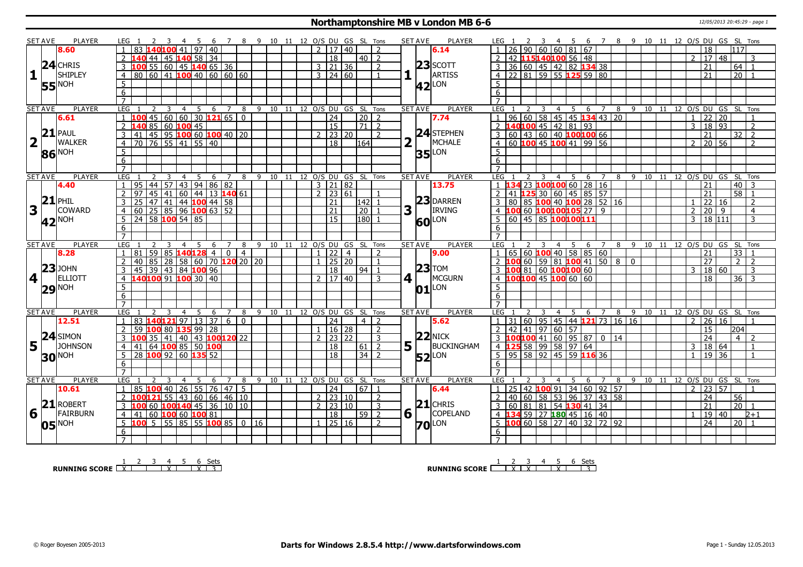### **Northamptonshire MB v London MB 6-6** 12/05/2013 20:45:29 - page 1

|                | SET AVE        | <b>PLAYER</b>                                                            | LEG 1<br>- 3                                                                                       | 4 5 6 7 8 9 10 11 12 O/S DU GS SL Tons |                                  |        |    |      |              |                                                |                |                                  | <b>SET AVE</b><br><b>PLAYER</b>      | LEG 1                                                                                                                                                                                                       |                              |                     | 2 3 4 5 6 7 8 9 10 11 12 O/S DU GS SL Tons |                     |     |                                  |                            |                |                 |                 |                            |
|----------------|----------------|--------------------------------------------------------------------------|----------------------------------------------------------------------------------------------------|----------------------------------------|----------------------------------|--------|----|------|--------------|------------------------------------------------|----------------|----------------------------------|--------------------------------------|-------------------------------------------------------------------------------------------------------------------------------------------------------------------------------------------------------------|------------------------------|---------------------|--------------------------------------------|---------------------|-----|----------------------------------|----------------------------|----------------|-----------------|-----------------|----------------------------|
|                |                | 8.60                                                                     | 83 140100 41 97 40                                                                                 |                                        |                                  |        |    |      |              | 2   17   40                                    |                | $\overline{2}$                   | 6.14                                 |                                                                                                                                                                                                             |                              |                     | $26$ 90 60 60 81 67                        |                     |     |                                  |                            |                | 18              | 117             |                            |
|                |                |                                                                          | 140 44 45 140 58 34                                                                                |                                        |                                  |        |    |      |              | 18                                             |                | $40$   2                         |                                      |                                                                                                                                                                                                             |                              |                     | 42 15140100 56 48                          |                     |     |                                  |                            |                | 17<br>  48      |                 |                            |
|                |                | $24$ CHRIS                                                               | 3 <b>100</b> 55 60 45 <b>140</b> 65 36                                                             |                                        |                                  |        |    |      |              | $3 \mid 21 \mid 36$                            |                | 2                                | $23$ SCOTT                           | $3 \mid 36 \mid 60 \mid 45 \mid 42 \mid 82$ 134 38                                                                                                                                                          |                              |                     |                                            |                     |     |                                  |                            |                | 21              | 64              |                            |
| 1              |                | SHIPLEY                                                                  | $\overline{4}$                                                                                     |                                        |                                  |        |    |      |              | $3 \mid 24 \mid 60$                            |                |                                  | ARTISS                               | $\frac{1}{4}$ 22 81 59 55 125 59 80                                                                                                                                                                         |                              |                     |                                            |                     |     |                                  |                            |                | 21              | $\overline{20}$ |                            |
|                |                | <b>NOH</b>                                                               | 5 <sup>5</sup>                                                                                     |                                        |                                  |        |    |      |              |                                                |                |                                  |                                      | 5 <sup>1</sup>                                                                                                                                                                                              |                              |                     |                                            |                     |     |                                  |                            |                |                 |                 |                            |
|                | 55             |                                                                          | 6                                                                                                  |                                        |                                  |        |    |      |              |                                                |                |                                  | $42$ <sup>LON</sup>                  | 6                                                                                                                                                                                                           |                              |                     |                                            |                     |     |                                  |                            |                |                 |                 |                            |
|                |                |                                                                          | $\overline{7}$                                                                                     |                                        |                                  |        |    |      |              |                                                |                |                                  |                                      | $\overline{7}$                                                                                                                                                                                              |                              |                     |                                            |                     |     |                                  |                            |                |                 |                 |                            |
|                | <b>SET AVE</b> | <b>PLAYER</b>                                                            | LEG<br>$\overline{4}$<br>2<br>$\overline{3}$                                                       | $-5$                                   | $6 \overline{7}$<br>8            |        |    |      |              |                                                |                | 9 10 11 12 O/S DU GS SL Tons     | <b>PLAYER</b><br><b>SET AVE</b>      | <b>LEG</b>                                                                                                                                                                                                  | 2<br>$\overline{\mathbf{3}}$ |                     | $4 \quad 5 \quad 6$                        |                     |     | 7 8 9 10 11 12 O/S DU GS SL Tons |                            |                |                 |                 |                            |
|                |                | 6.61                                                                     | $1 \overline{100}$ 45 60 60 30 121 65 0                                                            |                                        |                                  |        |    |      |              | $\overline{24}$                                |                | $\overline{20}$   2              | 7.74                                 |                                                                                                                                                                                                             |                              |                     |                                            |                     |     |                                  |                            |                | $1 \ 22 \ 20$   |                 |                            |
|                |                |                                                                          | 2 140 85 60 100 45                                                                                 |                                        |                                  |        |    |      |              | $\overline{15}$                                |                | $\frac{1}{21}$ 2                 |                                      | 1   96   60   58   45   45   134   43   20  <br>2   140 <mark>100</mark>   45   42   81   93                                                                                                                |                              |                     |                                            |                     |     |                                  |                            | $\overline{3}$ | 18 93           |                 | $\overline{2}$             |
|                |                | $\mathsf{L}_2$ $\left \sum_{n=1}^{2}\right $ $\sum_{n=1}^{2}\frac{1}{n}$ | $\overline{3}$                                                                                     |                                        |                                  |        |    |      |              | $2 \mid 23 \mid 20$                            |                | $\overline{2}$                   | <b>24</b> STEPHEN                    | 3 60 43 60 40 100 100 66                                                                                                                                                                                    |                              |                     |                                            |                     |     |                                  |                            |                | 21              | 32              | $\overline{2}$             |
|                |                | <b>WALKER</b>                                                            | <b>41</b> 45 95 <b>100</b> 60 <b>100</b> 40 20<br>$\overline{4}$                                   |                                        |                                  |        |    |      |              | 18                                             |                | 164                              | MCHALE                               | 4 60 100 45 100 41 99 56                                                                                                                                                                                    |                              |                     |                                            |                     |     |                                  |                            | 2              | 20 56           |                 |                            |
|                |                |                                                                          |                                                                                                    |                                        |                                  |        |    |      |              |                                                |                |                                  |                                      | 5                                                                                                                                                                                                           |                              |                     |                                            |                     |     |                                  |                            |                |                 |                 |                            |
|                |                | 86 NOH                                                                   | 5                                                                                                  |                                        |                                  |        |    |      |              |                                                |                |                                  | $35$ <sup>LON</sup>                  |                                                                                                                                                                                                             |                              |                     |                                            |                     |     |                                  |                            |                |                 |                 |                            |
|                |                |                                                                          | 6<br>$\overline{7}$                                                                                |                                        |                                  |        |    |      |              |                                                |                |                                  |                                      | 6                                                                                                                                                                                                           |                              |                     |                                            |                     |     |                                  |                            |                |                 |                 |                            |
|                |                |                                                                          |                                                                                                    |                                        |                                  |        |    |      |              |                                                |                |                                  |                                      |                                                                                                                                                                                                             |                              |                     |                                            |                     |     |                                  |                            |                |                 |                 |                            |
|                | <b>SET AVE</b> | <b>PLAYER</b>                                                            | LEG<br>$\overline{4}$                                                                              | 5<br>6                                 | $\overline{7}$                   | 8<br>9 | 10 | 11   |              |                                                |                | 12 O/S DU GS SL Tons             | <b>SET AVE</b><br><b>PLAYER</b>      | LEG                                                                                                                                                                                                         |                              | $\overline{4}$      | 5                                          | 6<br>$\overline{7}$ | 8   | $9 \t10$                         | 11                         |                | 12 0/S DU GS    |                 | SL Tons                    |
|                |                | 4.40                                                                     | $\boxed{44}$ 57<br>95<br>$\overline{1}$                                                            | 43 94 86 82                            |                                  |        |    |      |              | $3 \mid 21 \mid 82$                            |                |                                  | 13.75                                | 1 134 23 100100 60 28 16                                                                                                                                                                                    |                              |                     |                                            |                     |     |                                  |                            |                | 21              | 40              | 3                          |
|                | 21             | PHIL                                                                     | 2                                                                                                  |                                        |                                  |        |    |      |              | $2 \mid 23 \mid 61$                            |                |                                  | $23$ DARREN                          | 2 41 125 30 60 45 85 57                                                                                                                                                                                     |                              |                     |                                            |                     |     |                                  |                            |                | $\overline{21}$ | $\overline{58}$ | $\overline{1}$             |
|                |                |                                                                          | 97 45 41 60 44 13 140 61<br>25 47 41 44 100 44 58<br>60 25 85 96 100 63 52<br>24 58 100 54 85<br>3 |                                        |                                  |        |    |      |              | 21                                             |                | 142 1                            |                                      | $3   80   85   100   40   100   28   52   16$                                                                                                                                                               |                              |                     |                                            |                     |     |                                  |                            | $\mathbf{1}$   | 22              | l 16            | $\mathcal{L}$              |
| 3              |                | COWARD                                                                   | $\overline{4}$                                                                                     |                                        |                                  |        |    |      |              | $\overline{21}$                                |                | $\overline{20}$                  | 3<br><b>IRVING</b>                   | 4 100 60 100100105 27 9                                                                                                                                                                                     |                              |                     |                                            |                     |     |                                  |                            | $\overline{2}$ | $\overline{20}$ | -9              | $\overline{4}$             |
|                |                | 42 <sup>NOH</sup>                                                        | 5.                                                                                                 |                                        |                                  |        |    |      |              | 15                                             |                | $180$ 1                          | <b>60</b> LON                        |                                                                                                                                                                                                             |                              |                     | 60 45 85 100100111                         |                     |     |                                  |                            |                | 3   18   111    |                 | 3                          |
|                |                |                                                                          | 6                                                                                                  |                                        |                                  |        |    |      |              |                                                |                |                                  |                                      | 6                                                                                                                                                                                                           |                              |                     |                                            |                     |     |                                  |                            |                |                 |                 |                            |
|                |                |                                                                          |                                                                                                    |                                        |                                  |        |    |      |              |                                                |                |                                  |                                      |                                                                                                                                                                                                             |                              |                     |                                            |                     |     |                                  |                            |                |                 |                 |                            |
|                |                |                                                                          |                                                                                                    |                                        |                                  |        |    |      |              |                                                |                |                                  |                                      |                                                                                                                                                                                                             |                              |                     |                                            |                     |     |                                  |                            |                |                 |                 |                            |
|                | <b>SET AVE</b> | <b>PLAYER</b>                                                            | LEG<br>3<br>$\overline{4}$                                                                         | -5<br>6                                | $\overline{7}$<br>8              | 9      | 10 | 11   |              |                                                |                | 12 O/S DU GS SL Tons             | <b>PLAYER</b><br><b>SET AVE</b>      | LEG                                                                                                                                                                                                         |                              |                     | 4 <sub>5</sub>                             | 6 7                 | 89  |                                  | 10 11 12 0/S DU GS SL Tons |                |                 |                 |                            |
|                |                | 8.28                                                                     | 59   85 <mark>140</mark> 128 4<br>  81                                                             |                                        | $\overline{0}$<br>$\overline{4}$ |        |    |      |              | $1 \overline{22}$                              | $\overline{4}$ | $\overline{z}$                   | 9.00                                 |                                                                                                                                                                                                             |                              |                     | 65 60 100 40 58 85 60                      |                     |     |                                  |                            |                | 21              | $\overline{33}$ |                            |
|                |                |                                                                          | 40 85 28 58 60 70 120 20 20<br>$\overline{2}$                                                      |                                        |                                  |        |    |      | $\mathbf{1}$ | 25 20                                          |                | $\overline{1}$                   |                                      | 2 100 60 59 81 100 41 50 8                                                                                                                                                                                  |                              |                     |                                            |                     |     | l 0                              |                            |                | 27              | $\mathcal{P}$   | $\mathcal{L}$              |
|                |                | $23$ JOHN                                                                |                                                                                                    |                                        |                                  |        |    |      |              | 18                                             |                | $94$   1                         | $23$ TOM                             |                                                                                                                                                                                                             |                              |                     |                                            |                     |     |                                  |                            | 3              | 18 60           |                 | 3                          |
|                | 4 <sup>1</sup> | <b>ELLIOTT</b>                                                           | $\frac{1}{3}$ 45 39 43 84 100 96<br>4 140100 91 100 30 40                                          |                                        |                                  |        |    |      |              | $7 \mid 17 \mid 40$                            |                | $\mathcal{R}$                    | MCGURN<br>$4$ II                     | $\frac{1}{3}$ $\frac{1}{100}$ $\frac{1}{3}$ $\frac{1}{100}$ $\frac{1}{100}$ $\frac{1}{100}$ $\frac{1}{100}$ $\frac{1}{100}$ $\frac{1}{100}$ $\frac{1}{100}$ $\frac{1}{100}$ $\frac{1}{100}$ $\frac{1}{100}$ |                              |                     |                                            |                     |     |                                  |                            |                | 18              |                 | $36 \mid 3$                |
|                |                |                                                                          | 5                                                                                                  |                                        |                                  |        |    |      |              |                                                |                |                                  |                                      | 5 <sup>1</sup>                                                                                                                                                                                              |                              |                     |                                            |                     |     |                                  |                            |                |                 |                 |                            |
|                |                | $29$ <sup>NOH</sup>                                                      | 6                                                                                                  |                                        |                                  |        |    |      |              |                                                |                |                                  | $ 01 ^\text{LON}$                    | 6                                                                                                                                                                                                           |                              |                     |                                            |                     |     |                                  |                            |                |                 |                 |                            |
|                |                |                                                                          | $\overline{7}$                                                                                     |                                        |                                  |        |    |      |              |                                                |                |                                  |                                      | $\overline{7}$                                                                                                                                                                                              |                              |                     |                                            |                     |     |                                  |                            |                |                 |                 |                            |
|                | <b>SET AVE</b> | PLAYER                                                                   | <b>LEG</b><br>2<br>3<br>$\overline{4}$                                                             | - 5<br>6                               | $\overline{7}$<br>8              | 9      |    |      |              |                                                |                | 10 11 12 O/S DU GS SL Tons       | PLAYER<br>SET AVE                    | LEG                                                                                                                                                                                                         |                              | $\overline{4}$<br>3 | $5^{\circ}$<br>6                           | $\overline{7}$      | 8 9 |                                  |                            |                |                 |                 | 10 11 12 O/S DU GS SL Tons |
|                |                | 12.51                                                                    | 83   <b>140 121</b> 97   13   37   6<br>$\overline{1}$                                             |                                        | $\overline{0}$                   |        |    |      |              | $\overline{24}$                                |                | $\overline{4}$<br>$\overline{z}$ | 5.62                                 | $1 \mid 31 \mid 60 \mid 95 \mid 45 \mid 44$ <b>121</b> 73 16 16                                                                                                                                             |                              |                     |                                            |                     |     |                                  |                            | $\overline{2}$ | 26 16           |                 |                            |
|                |                |                                                                          | 59 100 80 135<br>$\overline{z}$                                                                    | $99$ 28                                |                                  |        |    |      |              | 1   16   28                                    |                | $\overline{2}$                   |                                      | $\overline{2}$                                                                                                                                                                                              |                              | 42 41 97 60 57      |                                            |                     |     |                                  |                            |                | $\overline{15}$ | 204             |                            |
|                |                |                                                                          | $100$ 35 41 40 43 100120 22                                                                        |                                        |                                  |        |    |      |              | $2 \mid 23 \mid 22$                            |                | 3                                | $22$ NICK                            | $3  100100 41  60 95 87  0 14$                                                                                                                                                                              |                              |                     |                                            |                     |     |                                  |                            |                | 24              | 4               | $\overline{z}$             |
|                |                | <b>JOHNSON</b>                                                           |                                                                                                    |                                        |                                  |        |    |      |              | 18                                             |                | $\overline{2}$<br>61             | $5\vert \bar{1} \vert$<br>BUCKINGHAM | 4 125 58 99 58 97 64                                                                                                                                                                                        |                              |                     |                                            |                     |     |                                  |                            | 3              | 18 64           |                 |                            |
|                |                | $\frac{24}{5}$ $\frac{24}{100}$ $\frac{32}{100}$                         | 4 41 64 100 85 50 100<br>5 28 100 92 60 135 52                                                     |                                        |                                  |        |    |      |              | $\overline{18}$                                |                | $34$   2                         |                                      | $5 \ 95 \ 58 \ 92 \ 45 \ 59 \ 116 \ 36$                                                                                                                                                                     |                              |                     |                                            |                     |     |                                  |                            | $\mathbf{1}$   | 19 36           |                 | $\overline{1}$             |
|                |                | <b>30 NOH</b>                                                            | 6                                                                                                  |                                        |                                  |        |    |      |              |                                                |                |                                  | $52$ <sup>LON</sup>                  | 6                                                                                                                                                                                                           |                              |                     |                                            |                     |     |                                  |                            |                |                 |                 |                            |
|                |                |                                                                          | $\overline{7}$                                                                                     |                                        |                                  |        |    |      |              |                                                |                |                                  |                                      | $\overline{7}$                                                                                                                                                                                              |                              |                     |                                            |                     |     |                                  |                            |                |                 |                 |                            |
|                | <b>SET AVE</b> | <b>PLAYER</b>                                                            | LEG<br>3<br>$\overline{4}$                                                                         | -5<br>6                                | $\overline{7}$<br>8              | 9      | 10 | - 11 |              |                                                |                | 12 O/S DU GS SL Tons             | <b>SET AVE</b><br><b>PLAYER</b>      | LEG                                                                                                                                                                                                         |                              | $\overline{4}$      | -5<br>6                                    | $\overline{7}$      | 8   | 9 10 11 12 O/S DU GS SL Tons     |                            |                |                 |                 |                            |
|                |                | 10.61                                                                    | 85   100   40   26   55   76   47  <br>$\mathbf{1}$                                                |                                        | 5                                |        |    |      |              | $\overline{24}$                                |                | $67$   1                         | 6.44                                 | 1 <sup>1</sup>                                                                                                                                                                                              |                              |                     | 25 42 100 91 34 60 92 57                   |                     |     |                                  |                            | $\overline{2}$ | 23 57           |                 |                            |
|                |                |                                                                          | 2 100121 55 43 60 66 46 10                                                                         |                                        |                                  |        |    |      |              | $\overline{2}$ $\overline{23}$ $\overline{10}$ |                | 2                                |                                      | 2 40 60 58 53 96 37 43 58                                                                                                                                                                                   |                              |                     |                                            |                     |     |                                  |                            |                | $\overline{24}$ | 56              |                            |
|                | 21             | ROBERT                                                                   | 3 100 60 100 140 45 36 10 10                                                                       |                                        |                                  |        |    |      |              | $2 \mid 23 \mid 10$                            |                | $\overline{3}$                   | $21$ CHRIS                           | 3 60 81 81 54 130 41 34                                                                                                                                                                                     |                              |                     |                                            |                     |     |                                  |                            |                | $\overline{21}$ |                 | $20$ 1                     |
| 6 <sup>1</sup> |                | FAIRBURN                                                                 | 4   41   60   100   60   100   81                                                                  |                                        |                                  |        |    |      |              | $\overline{18}$                                |                | $59$   2                         | $6\sqrt{ }$<br>COPELAND              | 4 134 59 27 180 45 16 40                                                                                                                                                                                    |                              |                     |                                            |                     |     |                                  |                            | $\overline{1}$ | 19   40         |                 | $2 + 1$                    |
|                |                | NOH                                                                      | $5$ 100 5 55 85 55 100 85 0 16                                                                     |                                        |                                  |        |    |      |              | $1$ 25 16                                      |                | $\overline{2}$                   |                                      | $5 \ \ 100 \ \ 60 \ \ 58 \ \ 27 \ \ 40 \ \ 32 \ \ 72 \ \ 92$                                                                                                                                                |                              |                     |                                            |                     |     |                                  |                            |                | 24              |                 | 20 1                       |
|                | 05             |                                                                          | 6                                                                                                  |                                        |                                  |        |    |      |              |                                                |                |                                  | <b>70</b> LON                        | 6                                                                                                                                                                                                           |                              |                     |                                            |                     |     |                                  |                            |                |                 |                 |                            |

**RUNNING SCORE**  $\begin{array}{|c|c|c|c|c|}\n\hline\n & 1 & 2 & 3 & 4 & 5 & 6 & \text{Sets} \\
\hline\n\end{array}$ 

**RUNNING SCORE**  $\begin{array}{|c|c|c|c|c|}\n\hline\n & 2 & 3 & 4 & 5 & 6 & \text{Sets}} \\
\hline\n\end{array}$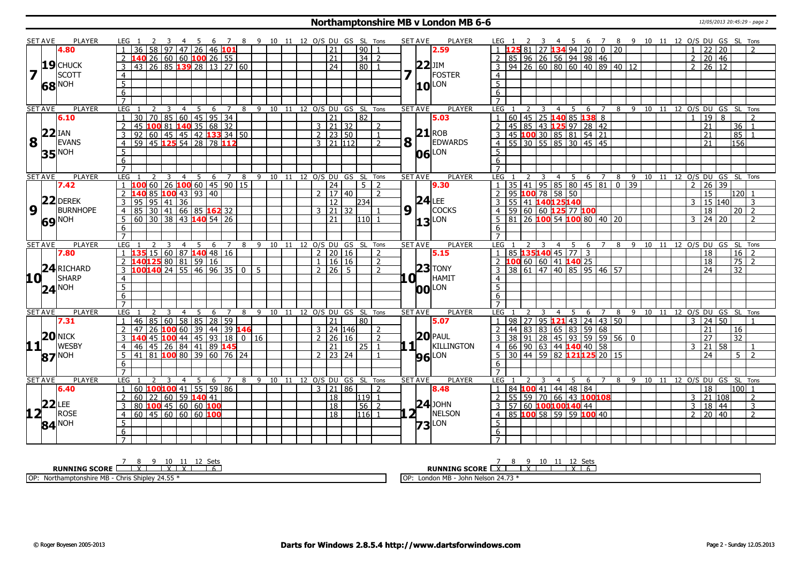#### **Northamptonshire MB v London MB 6-6** 12/05/2013 20:45:29 - page 2

|             | SET AVE        | <b>PLAYER</b>       | LEG 1               |                                                                        |                                           |                | 45             |                | - 6                    |   |                |       |             |  |               |                 |                     | 7 8 9 10 11 12 O/S DU GS SL Tons |                              |           | <b>SET AVE</b> | <b>PLAYER</b>       | LEG 1               |                                  |   |                | - 45 |   |                                       |                                                                                                                                   |                 | 6 7 8 9 10 11 12 O/S DU GS SL Tons |  |                |                 |                     |                            |                                   |                |
|-------------|----------------|---------------------|---------------------|------------------------------------------------------------------------|-------------------------------------------|----------------|----------------|----------------|------------------------|---|----------------|-------|-------------|--|---------------|-----------------|---------------------|----------------------------------|------------------------------|-----------|----------------|---------------------|---------------------|----------------------------------|---|----------------|------|---|---------------------------------------|-----------------------------------------------------------------------------------------------------------------------------------|-----------------|------------------------------------|--|----------------|-----------------|---------------------|----------------------------|-----------------------------------|----------------|
|             |                | 4.80                |                     | 36                                                                     | 58                                        |                |                |                | 97 47 26 46 101        |   |                |       |             |  |               | 21              |                     | $\sqrt{90}$                      |                              |           |                | 2.59                |                     |                                  |   |                |      |   | 3494200                               | $\overline{20}$                                                                                                                   |                 |                                    |  |                | 22              |                     | $\overline{20}$            |                                   | $\mathcal{L}$  |
|             |                |                     |                     |                                                                        | 26   60   60   <mark>100</mark>   26   55 |                |                |                |                        |   |                |       |             |  |               | $\overline{21}$ |                     | 34                               | 2                            |           |                |                     |                     |                                  |   |                |      |   | 85 96 26 56 94 98 46                  |                                                                                                                                   |                 |                                    |  | $2^{\circ}$    |                 | 20 46               |                            |                                   |                |
|             |                | $19$ CHUCK          |                     | 43 26 85 139 28 13 27 60                                               |                                           |                |                |                |                        |   |                |       |             |  |               | 24              |                     | l 80 l                           |                              |           |                | $22$ JIM            |                     |                                  |   |                |      |   |                                       | 94   26   60   80   60   40   89   40   12                                                                                        |                 |                                    |  | $\mathcal{P}$  |                 | 26 12               |                            |                                   |                |
| 7           |                | SCOTT               | $\overline{4}$      |                                                                        |                                           |                |                |                |                        |   |                |       |             |  |               |                 |                     |                                  |                              | 7         |                | <b>IFOSTER</b>      | $\overline{4}$      |                                  |   |                |      |   |                                       |                                                                                                                                   |                 |                                    |  |                |                 |                     |                            |                                   |                |
|             |                |                     | $\overline{5}$      |                                                                        |                                           |                |                |                |                        |   |                |       |             |  |               |                 |                     |                                  |                              |           |                |                     | 5 <sup>5</sup>      |                                  |   |                |      |   |                                       |                                                                                                                                   |                 |                                    |  |                |                 |                     |                            |                                   |                |
|             |                | 68 NOH              | $\overline{6}$      |                                                                        |                                           |                |                |                |                        |   |                |       |             |  |               |                 |                     |                                  |                              |           |                | $10^{\text{LON}}$   | 6                   |                                  |   |                |      |   |                                       |                                                                                                                                   |                 |                                    |  |                |                 |                     |                            |                                   |                |
|             |                |                     | $\overline{7}$      |                                                                        |                                           |                |                |                |                        |   |                |       |             |  |               |                 |                     |                                  |                              |           |                |                     | $\overline{7}$      |                                  |   |                |      |   |                                       |                                                                                                                                   |                 |                                    |  |                |                 |                     |                            |                                   |                |
|             | SET AVE        | <b>PLAYER</b>       | LEG                 |                                                                        | 2                                         |                | $\overline{4}$ | -5             |                        | 6 | 7              | 8     |             |  |               |                 |                     | 9 10 11 12 O/S DU GS SL Tons     |                              |           | <b>SET AVE</b> | <b>PLAYER</b>       | LEG                 |                                  | 3 | 4              | -5   | 6 | $\overline{7}$                        |                                                                                                                                   |                 | 8 9 10 11 12 0/S DU GS SL Tons     |  |                |                 |                     |                            |                                   |                |
|             |                | 6.10                |                     | 30                                                                     | 70                                        |                |                |                | 85 60 45 95 34         |   |                |       |             |  |               | 21              |                     | $\overline{82}$                  |                              |           |                | 5.03                |                     | 60                               |   |                |      |   | $145$ 25 140 85 138 8                 |                                                                                                                                   |                 |                                    |  |                | 19              |                     | 8                          | $\overline{2}$                    |                |
|             |                |                     | $\overline{2}$      | 45                                                                     | $10081$ $14035$ 68 32                     |                |                |                |                        |   |                |       |             |  |               |                 | $3 \mid 21 \mid 32$ |                                  | $\overline{2}$               |           |                |                     | $\overline{2}$      |                                  |   |                |      |   | 45 85 43 125 97 28 42                 |                                                                                                                                   |                 |                                    |  |                | 21              |                     |                            | $\overline{36}$<br>$\overline{1}$ |                |
|             | $22$ IAN       |                     | 3                   | $\overline{92}$                                                        | 60   45   45   42 <b>133</b> 34   50      |                |                |                |                        |   |                |       |             |  |               |                 | $2 \mid 23 \mid 50$ |                                  | $\mathbf{1}$                 |           |                | $21$ <sub>ROB</sub> |                     |                                  |   |                |      |   | 3   45   100   30   85   81   54   21 |                                                                                                                                   |                 |                                    |  |                | $\overline{21}$ |                     |                            | 85<br>$\overline{1}$              |                |
| 8           | $\mathbf{L}$   | <b>EVANS</b>        | $\overline{4}$      | 59 45 125 54 28 78 112                                                 |                                           |                |                |                |                        |   |                |       |             |  |               |                 | $3 \ 21 \ 112$      |                                  | $\mathcal{L}$                |           | $8\sqrt{1}$    | EDWARDS             |                     |                                  |   |                |      |   | $4 \overline{)55}$ 30 55 85 30 45 45  |                                                                                                                                   |                 |                                    |  |                | $\overline{21}$ |                     |                            | 156                               |                |
|             |                |                     | $\overline{5}$      |                                                                        |                                           |                |                |                |                        |   |                |       |             |  |               |                 |                     |                                  |                              |           |                |                     | 5                   |                                  |   |                |      |   |                                       |                                                                                                                                   |                 |                                    |  |                |                 |                     |                            |                                   |                |
|             |                | <b>35 NOH</b>       | 6                   |                                                                        |                                           |                |                |                |                        |   |                |       |             |  |               |                 |                     |                                  |                              |           |                | $06$ <sup>LON</sup> | 6                   |                                  |   |                |      |   |                                       |                                                                                                                                   |                 |                                    |  |                |                 |                     |                            |                                   |                |
|             |                |                     | $\overline{7}$      |                                                                        |                                           |                |                |                |                        |   |                |       |             |  |               |                 |                     |                                  |                              |           |                |                     |                     |                                  |   |                |      |   |                                       |                                                                                                                                   |                 |                                    |  |                |                 |                     |                            |                                   |                |
|             | <b>SET AVE</b> | <b>PLAYER</b>       | LEG                 |                                                                        |                                           | $\overline{3}$ | $\overline{4}$ | $\overline{5}$ |                        |   |                | 6 7 8 |             |  |               |                 |                     | 9 10 11 12 0/S DU GS SL Tons     |                              |           | <b>SET AVE</b> | <b>PLAYER</b>       | LEG 1               |                                  | 3 |                |      |   | 4 5 6 7                               | 8                                                                                                                                 | $-9$            |                                    |  |                |                 |                     | 10 11 12 O/S DU GS SL Tons |                                   |                |
|             |                | 7.42                |                     |                                                                        | 60 26 100 60 45 90 15                     |                |                |                |                        |   |                |       |             |  |               | $\overline{24}$ |                     | 5 <sup>1</sup>                   | $\mathcal{D}$                |           |                | 9.30                |                     | 35 41                            |   |                |      |   |                                       |                                                                                                                                   | $\overline{39}$ |                                    |  | $\mathcal{P}$  |                 | 26                  | 39                         |                                   |                |
|             |                |                     |                     |                                                                        | 85   100 43   93   40                     |                |                |                |                        |   |                |       |             |  | $\mathcal{P}$ |                 | 17 40               |                                  | $\mathcal{P}$                |           |                |                     | $\overline{2}$      | 95 100 78 58 50                  |   |                |      |   |                                       |                                                                                                                                   |                 |                                    |  |                | 15              |                     |                            | 120 l<br>- 1                      |                |
|             |                | $22$ DEREK          | $\overline{3}$      | 95                                                                     | $95 \mid 41 \mid 36$                      |                |                |                |                        |   |                |       |             |  |               | $\overline{12}$ |                     | 234                              |                              |           |                | $24$ LEE            |                     | 3 55 41 140 125 140              |   |                |      |   |                                       |                                                                                                                                   |                 |                                    |  | 3              |                 | 15 140              |                            | 3                                 |                |
| 9           |                | <b>BURNHOPE</b>     | $\overline{4}$      | $85$ 30 41 66 85 162 32                                                |                                           |                |                |                |                        |   |                |       |             |  |               |                 | $3 \mid 21 \mid 32$ |                                  |                              |           | 9 1            | <b>COCKS</b>        |                     | 4 59 60 60 125 77 100            |   |                |      |   |                                       |                                                                                                                                   |                 |                                    |  |                | 18              |                     |                            | $20$   2                          |                |
|             |                |                     | 5 <sup>5</sup>      | $60$ 30 38 43 140 54 26                                                |                                           |                |                |                |                        |   |                |       |             |  |               | 21              |                     | 111011                           |                              |           |                |                     |                     |                                  |   |                |      |   |                                       | $5   81   26   100   54   100   80   40   20$                                                                                     |                 |                                    |  |                |                 | $3 \mid 24 \mid 20$ |                            | $\overline{2}$                    |                |
|             |                | <b>69 NOH</b>       | 6                   |                                                                        |                                           |                |                |                |                        |   |                |       |             |  |               |                 |                     |                                  |                              |           |                | $13$ LON            |                     |                                  |   |                |      |   |                                       |                                                                                                                                   |                 |                                    |  |                |                 |                     |                            |                                   |                |
|             |                |                     | $\overline{7}$      |                                                                        |                                           |                |                |                |                        |   |                |       |             |  |               |                 |                     |                                  |                              |           |                |                     | 6<br>$\overline{7}$ |                                  |   |                |      |   |                                       |                                                                                                                                   |                 |                                    |  |                |                 |                     |                            |                                   |                |
|             |                |                     |                     |                                                                        |                                           |                |                |                |                        |   |                | 8     |             |  |               |                 |                     |                                  | 9 10 11 12 0/S DU GS SL Tons |           | <b>SET AVE</b> | <b>PLAYER</b>       | LEG 1               |                                  | 3 |                |      |   | 4 5 6 7                               | 8                                                                                                                                 | $-9$            |                                    |  |                |                 |                     | 12 O/S DU GS SL Tons       |                                   |                |
|             |                |                     |                     |                                                                        |                                           |                |                |                |                        |   |                |       |             |  |               |                 |                     |                                  |                              |           |                |                     |                     |                                  |   |                |      |   |                                       |                                                                                                                                   |                 |                                    |  |                |                 |                     |                            |                                   |                |
|             | <b>SET AVE</b> | <b>PLAYER</b>       | LEG                 |                                                                        |                                           |                | $\overline{4}$ | 5 <sub>1</sub> |                        |   | 6 7            |       |             |  |               |                 |                     |                                  |                              |           |                |                     |                     |                                  |   |                |      |   |                                       |                                                                                                                                   |                 | $10$ $11$                          |  |                |                 |                     |                            |                                   |                |
|             |                | 7.80                |                     | $1 \overline{135} 15 \overline{60} 87 \overline{140} 48 \overline{16}$ |                                           |                |                |                |                        |   |                |       |             |  |               |                 | $2 \mid 20 \mid 16$ |                                  | $\overline{2}$               |           |                | 5.15                |                     | $1   85  $ 135140 45 77 3        |   |                |      |   |                                       |                                                                                                                                   |                 |                                    |  |                | 18              |                     |                            | $16 \mid 2$                       |                |
|             |                |                     | 2                   | <b>140<mark>125</mark></b> 80 81 59 16                                 |                                           |                |                |                |                        |   |                |       |             |  | $\mathbf{1}$  |                 | 16 16               |                                  | $\overline{z}$               |           |                |                     |                     | 2 100 60 60 41 140 25            |   |                |      |   |                                       |                                                                                                                                   |                 |                                    |  |                | 18              |                     |                            | $75$   2                          |                |
|             |                | 24 RICHARD          | 3                   | $100$ 140 24 55 46 96 35 0 5                                           |                                           |                |                |                |                        |   |                |       |             |  |               |                 | $7 \times 126$ 5    |                                  | $\mathcal{L}$                |           |                | $23$ TONY           |                     |                                  |   |                |      |   |                                       | $3 \overline{)38 \overline{)61 \overline{)47 \overline{)40 \overline{85 \overline{)95 \overline{46 \overline{)57 \overline{}}}}}$ |                 |                                    |  |                | 24              |                     |                            | $\overline{32}$                   |                |
| <b>10</b>   |                | SHARP               | $\overline{4}$      |                                                                        |                                           |                |                |                |                        |   |                |       |             |  |               |                 |                     |                                  |                              | <b>LQ</b> |                | HAMIT               | $\overline{4}$      |                                  |   |                |      |   |                                       |                                                                                                                                   |                 |                                    |  |                |                 |                     |                            |                                   |                |
|             |                | $24^{\text{NOH}}$   | $\overline{5}$      |                                                                        |                                           |                |                |                |                        |   |                |       |             |  |               |                 |                     |                                  |                              |           |                | <b>00</b> LON       | $\overline{5}$      |                                  |   |                |      |   |                                       |                                                                                                                                   |                 |                                    |  |                |                 |                     |                            |                                   |                |
|             |                |                     | 6                   |                                                                        |                                           |                |                |                |                        |   |                |       |             |  |               |                 |                     |                                  |                              |           |                |                     | $6 \overline{6}$    |                                  |   |                |      |   |                                       |                                                                                                                                   |                 |                                    |  |                |                 |                     |                            |                                   |                |
|             |                |                     | $\overline{7}$      |                                                                        |                                           |                |                |                |                        |   |                |       |             |  |               |                 |                     |                                  |                              |           |                |                     |                     |                                  |   |                |      |   |                                       |                                                                                                                                   |                 |                                    |  |                |                 |                     |                            |                                   |                |
|             | <b>SET AVE</b> | <b>PLAYER</b>       | LEG                 |                                                                        |                                           |                |                | -5             |                        | 6 |                |       |             |  |               |                 |                     | 8 9 10 11 12 O/S DU GS SL Tons   |                              |           | <b>SET AVE</b> | <b>PLAYER</b>       | LEG                 |                                  |   | $\overline{4}$ | - 5  | 6 | $\overline{7}$                        |                                                                                                                                   |                 | 8 9 10 11 12 O/S DU GS SL Tons     |  |                |                 |                     |                            |                                   |                |
|             |                | 7.31                |                     | 46   85                                                                |                                           |                |                |                | 60   58   85   28   59 |   |                |       |             |  |               | 21              |                     | 80                               |                              |           |                | 5.07                |                     | 98 27                            |   |                |      |   |                                       | 95 <b>121</b> 43   24   43   50                                                                                                   |                 |                                    |  | 3              |                 | 24                  | 50                         |                                   |                |
|             |                |                     |                     | 47                                                                     | 26 100 60 39 44 39 146                    |                |                |                |                        |   |                |       |             |  |               |                 | $3$   24   146      |                                  | 2                            |           |                |                     |                     | $44 \mid 83$                     |   |                |      |   | 83 65 83 59 68                        |                                                                                                                                   |                 |                                    |  |                | 21              |                     |                            | 16                                |                |
|             |                | $20$ NICK           | 3                   |                                                                        | 45 100 44 45 93 18                        |                |                |                |                        |   |                |       | $0 \mid 16$ |  | $2^{\circ}$   |                 | 26 16               |                                  | $\overline{2}$               |           |                | $20$ PAUL           | 3                   |                                  |   |                |      |   |                                       | 38 91 28 45 93 59 59 56 0                                                                                                         |                 |                                    |  |                | $\overline{27}$ |                     |                            | 32                                |                |
| 11          |                | <b>WESBY</b>        | $\overline{4}$      | 46                                                                     | 45 26 84 41 89 145                        |                |                |                |                        |   |                |       |             |  |               | 21              |                     | 25   1                           |                              |           | 1H L           | KILLINGTON          |                     |                                  |   |                |      |   | 4 66 90 63 44 140 40 58               |                                                                                                                                   |                 |                                    |  | 3              | 21              |                     | 58                         | $\overline{1}$                    |                |
|             |                |                     | 5                   | $-41$                                                                  | 81 <b>100</b> 80 39 60 76 24              |                |                |                |                        |   |                |       |             |  |               |                 | $2 \mid 23 \mid 24$ |                                  |                              |           |                |                     |                     |                                  |   |                |      |   |                                       | 5 30 44 59 82 121125 20 15                                                                                                        |                 |                                    |  |                | 24              |                     |                            | $5 \mid 2$                        |                |
|             |                | $87$ <sup>NOH</sup> | 6                   |                                                                        |                                           |                |                |                |                        |   |                |       |             |  |               |                 |                     |                                  |                              |           |                | <b>96</b> LON       | 6                   |                                  |   |                |      |   |                                       |                                                                                                                                   |                 |                                    |  |                |                 |                     |                            |                                   |                |
|             |                |                     | $\overline{7}$      |                                                                        |                                           |                |                |                |                        |   |                |       |             |  |               |                 |                     |                                  |                              |           |                |                     | $\overline{7}$      |                                  |   |                |      |   |                                       |                                                                                                                                   |                 |                                    |  |                |                 |                     |                            |                                   |                |
|             | <b>SET AVE</b> | PLAYER              | <b>LEG</b>          |                                                                        |                                           |                |                |                |                        | 6 | $\overline{7}$ | 8     |             |  |               |                 |                     | 9 10 11 12 O/S DU GS SL Tons     |                              |           | <b>SET AVE</b> | <b>PLAYER</b>       | LEG                 |                                  |   | 4              |      | 6 |                                       | 8                                                                                                                                 | $\overline{9}$  |                                    |  |                |                 |                     | 10 11 12 O/S DU GS SL Tons |                                   |                |
|             |                | 6.40                | $\overline{1}$      | 60 100 100 41 55 59 86                                                 |                                           |                |                |                |                        |   |                |       |             |  |               |                 | $3 \mid 21 \mid 86$ |                                  | $\mathcal{P}$                |           |                | 8.48                |                     | 1   84   100   41   44   48   84 |   |                |      |   |                                       |                                                                                                                                   |                 |                                    |  |                | 18              |                     |                            | 100 1                             |                |
|             |                |                     | $\mathcal{P}$       | 60                                                                     | 22 60 59 140 41                           |                |                |                |                        |   |                |       |             |  |               | 18              |                     | 119 1                            |                              |           |                |                     |                     |                                  |   |                |      |   | 2 55 59 70 66 43 100 108              |                                                                                                                                   |                 |                                    |  |                |                 | 3 21 108            |                            | $\overline{2}$                    |                |
|             | $22$ LEE       |                     | 3                   | 80                                                                     | $100$ 45 60 60 100                        |                |                |                |                        |   |                |       |             |  |               | $\overline{18}$ |                     | $56$   2                         |                              |           |                | $24$ JOHN           |                     | 3 57 60 100100140 44             |   |                |      |   |                                       |                                                                                                                                   |                 |                                    |  | $\overline{3}$ |                 | 18 44               |                            | $\overline{3}$                    |                |
| $12^{\top}$ |                | <b>ROSE</b>         | 4                   | $60   45   60   60   60$ 100                                           |                                           |                |                |                |                        |   |                |       |             |  |               | $\overline{18}$ |                     | $116$ 1                          |                              |           | 21             | NELSON              |                     |                                  |   |                |      |   | $4$ 85 100 58 59 59 100 40            |                                                                                                                                   |                 |                                    |  |                |                 | $2 \mid 20 \mid 40$ |                            |                                   | $\overline{2}$ |
|             |                |                     | $\overline{5}$      |                                                                        |                                           |                |                |                |                        |   |                |       |             |  |               |                 |                     |                                  |                              |           |                |                     | 5                   |                                  |   |                |      |   |                                       |                                                                                                                                   |                 |                                    |  |                |                 |                     |                            |                                   |                |
|             |                | 84 <sup>NOH</sup>   | 6<br>$\overline{7}$ |                                                                        |                                           |                |                |                |                        |   |                |       |             |  |               |                 |                     |                                  |                              |           |                | $73$ <sup>LON</sup> | 6<br>$\overline{7}$ |                                  |   |                |      |   |                                       |                                                                                                                                   |                 |                                    |  |                |                 |                     |                            |                                   |                |

**RUNNING SCORE**<u>
<sup>7</sup>
8
<sup>9</sup>
10
11
12 Sets</u><br> **RUNNING SCORE**<u>
1 X I X I 1 6</u>

OP: Northamptonshire MB - Chris Shipley 24.55 \*

<u>7 8 9 10 11 12 Sets</u><br>**RUNNING SCORE** EXTERT TEXT TEXT 6

OP: London MB - John Nelson 24.73 \*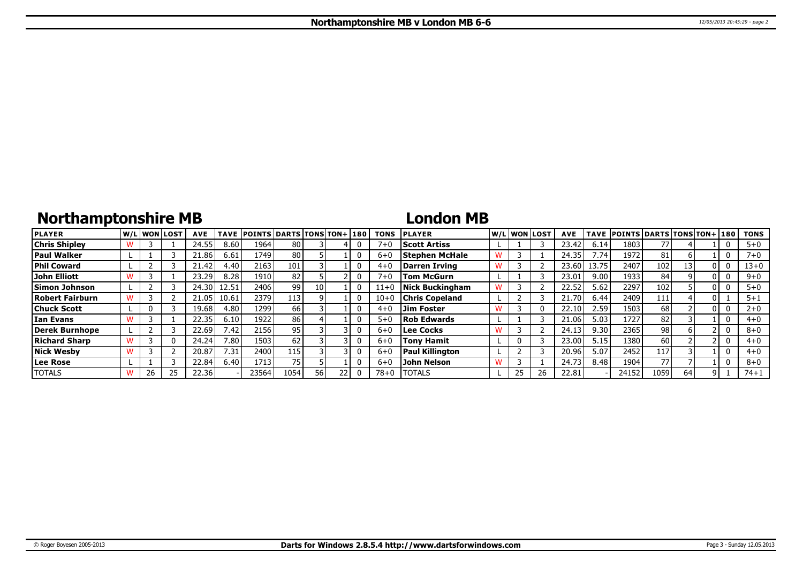# **Northamptonshire MB**

### **London MB**

| <b>PLAYER</b>        |    | lw/Llwonllost | <b>AVE</b> | <b>TAVE</b> | <b>POINTS DARTS TONS TON+180</b> |      |      |  | <b>TONS</b> | <b>PLAYER</b>          |    | W/Liwonilost | <b>AVE</b> |       | TAVE POINTS DARTS TONS TON+ 180 |      |    |     | <b>TONS</b> |
|----------------------|----|---------------|------------|-------------|----------------------------------|------|------|--|-------------|------------------------|----|--------------|------------|-------|---------------------------------|------|----|-----|-------------|
| <b>Chris Shipley</b> |    |               | 24.55      | 8.60        | 1964                             | 80   |      |  | $7 + 0$     | <b>Scott Artiss</b>    |    |              | 23.42      | 6.14  | 1803                            | 77   |    |     | $5 + 0$     |
| <b>Paul Walker</b>   |    |               | 21.86      | 6.61        | 1749 I                           | 80   |      |  | $6 + C$     | <b>Stephen McHale</b>  |    |              | 24.35      | 7.74  | 1972                            | 81   |    |     | $7 + 0$     |
| <b>Phil Coward</b>   |    |               | 21.42      | 4.40        | 2163                             | 101  |      |  | $4 + C$     | Darren Irving          |    |              | 23.60      | 13.75 | 2407                            | 102  | 13 |     | $13 + 0$    |
| John Elliott         |    |               | 23.29      | 8.28        | 1910                             | 82   |      |  | $7 + 0$     | <b>Tom McGurn</b>      |    |              | 23.01      | 9.00  | 1933                            | 84   |    |     | $9 + 0$     |
| Simon Johnson        |    |               | 24.30      | 12.51       | 2406 l                           | 99   | 10   |  | 11+0        | <b>Nick Buckingham</b> |    |              | 22.52      | 5.62  | 2297                            | 102  |    | 0 I | $5+0$       |
| Robert Fairburn      |    |               | 21.05      | 10.61       | 2379                             | 113  |      |  | $10 + 0$    | <b>Chris Copeland</b>  |    |              | 21.70      | 6.44  | 2409                            | 111  |    |     | $5 + 1$     |
| <b>Chuck Scott</b>   |    |               | 19.68      | 4.80        | 1299                             | 66   |      |  | $4 + C$     | <b>Jim Foster</b>      |    |              | 22.10      | 2.59  | 1503                            | 68   |    |     | $2 + 0$     |
| l Ian Evans          |    |               | 22.35      | 6.10        | 1922                             | 86   |      |  | $5 + C$     | <b>Rob Edwards</b>     |    |              | 21.06      | 5.03  | 1727                            | 82   |    |     | $4 + 0$     |
| Derek Burnhope       |    |               | 22.69      | 7.42        | 2156 l                           | 95   |      |  | $6 + 0$     | Lee Cocks              |    |              | 24.13      | 9.30  | 2365                            | 98   |    |     | $8 + 0$     |
| <b>Richard Sharp</b> |    | 0             | 24.24      | 7.80        | 1503                             | 62   |      |  | $6 + C$     | <b>Tony Hamit</b>      |    |              | 23.00      | 5.15  | 1380                            | 60   |    |     | $4 + 0$     |
| Nick Wesby           |    |               | 20.87      | 7.31        | 2400                             | 115  |      |  | $6 + C$     | <b>Paul Killington</b> |    |              | 20.96      | 5.07  | 2452                            | 117  |    |     | $4 + 0$     |
| Lee Rose             |    |               | 22.84      | 6.40        | 1713                             | 75   |      |  | $6 + C$     | <b>John Nelson</b>     |    |              | 24.73      | 8.48  | 1904                            | 77   |    |     | $8 + 0$     |
| <b>TOTALS</b>        | 26 | 25            | 22.36      |             | 23564                            | 1054 | 56 I |  | $78 + 0$    | <b>TOTALS</b>          | 25 |              | 22.81      |       | 24152                           | 1059 | 64 |     | $74 + 1$    |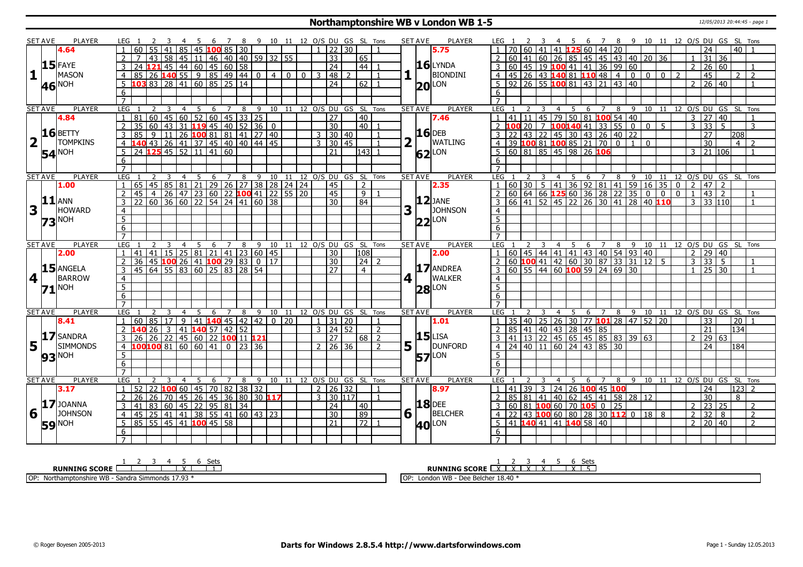### **Northamptonshire WB v London WB 1-5** 12/05/2013 20:44:45 - page 1

|   | SET AVE        | <b>PLAYER</b>            | LEG 1           |                           |                |                                                                                                       |                |             |   | <sup>7</sup>          |    | 8 9 10 11 12 O/S DU GS SL Tons   |        |                 |             |              |                     |                 |                            |                | <b>SET AVE</b> |    | PLAYER              |                         |   |                         |                |                |                                                               |              |                                                                                                                                                                  |             |                                                          |                |                |                |                    |                                        |                | 7 8 9 10 11 12 O/S DU GS SL Tons   |
|---|----------------|--------------------------|-----------------|---------------------------|----------------|-------------------------------------------------------------------------------------------------------|----------------|-------------|---|-----------------------|----|----------------------------------|--------|-----------------|-------------|--------------|---------------------|-----------------|----------------------------|----------------|----------------|----|---------------------|-------------------------|---|-------------------------|----------------|----------------|---------------------------------------------------------------|--------------|------------------------------------------------------------------------------------------------------------------------------------------------------------------|-------------|----------------------------------------------------------|----------------|----------------|----------------|--------------------|----------------------------------------|----------------|------------------------------------|
|   |                | 4.64                     |                 | 60                        | 55             | 41                                                                                                    |                | 45          |   | 100 85 30             |    |                                  |        |                 |             | $\mathbf{1}$ | $\overline{22}$     | $\overline{30}$ |                            |                |                |    | 5.75                |                         |   | $60$ 41                 |                | 41 125         |                                                               | 60   44   20 |                                                                                                                                                                  |             |                                                          |                |                |                | 24                 |                                        | 40             |                                    |
|   |                |                          |                 |                           |                |                                                                                                       |                |             |   |                       |    |                                  |        |                 |             |              | $\overline{33}$     |                 | 65                         |                |                |    |                     |                         |   |                         |                |                |                                                               |              |                                                                                                                                                                  |             | 60 41 60 26 85 45 45 43 40 20 36                         |                |                | $\overline{1}$ | 31                 | 36                                     |                |                                    |
|   |                | $15$ FAYE                | 3               |                           |                |                                                                                                       |                |             |   |                       |    |                                  |        |                 |             |              | $\overline{24}$     |                 | 44                         |                |                |    | $16$ LYNDA          |                         |   |                         |                |                |                                                               |              | 3 60 45 19 100 41 41 36 99 60                                                                                                                                    |             |                                                          |                |                | $\overline{2}$ |                    | 26 60                                  |                |                                    |
| 1 |                | <b>MASON</b>             | $\overline{4}$  |                           |                | <u>7 43 58 45 11 46 40 40 59 32 55<br/>24 121 45 44 60 45 60 58<br/>85 26 140 55 9 85 49 44 0 4 0</u> |                |             |   |                       |    |                                  |        | 4 0             | $\boxed{0}$ |              | 3  48               | $\overline{2}$  |                            | $\overline{1}$ |                |    | <b>BIONDINI</b>     |                         |   |                         |                |                |                                                               |              |                                                                                                                                                                  |             | $4   45   26   43   140   81   110   48   4   0   0   0$ |                | $\overline{z}$ |                | 45                 |                                        | $\mathcal{P}$  | $\overline{2}$                     |
|   |                | NOH                      |                 |                           |                | $5$ 103 83 28 41 60 85 25 14                                                                          |                |             |   |                       |    |                                  |        |                 |             |              | 24                  |                 | $62$   1                   |                |                |    |                     |                         |   |                         |                |                |                                                               |              | 5   92   26   55   100 81   43   21   43   40                                                                                                                    |             |                                                          |                |                | $\overline{2}$ |                    | $26 \mid 40$                           |                |                                    |
|   | 46             |                          | 6               |                           |                |                                                                                                       |                |             |   |                       |    |                                  |        |                 |             |              |                     |                 |                            |                |                |    | $20$ <sup>LON</sup> |                         |   |                         |                |                |                                                               |              |                                                                                                                                                                  |             |                                                          |                |                |                |                    |                                        |                |                                    |
|   |                |                          | $\overline{7}$  |                           |                |                                                                                                       |                |             |   |                       |    |                                  |        |                 |             |              |                     |                 |                            |                |                |    |                     |                         |   |                         |                |                |                                                               |              |                                                                                                                                                                  |             |                                                          |                |                |                |                    |                                        |                |                                    |
|   | <b>SET AVE</b> | <b>PLAYER</b>            | LEG             |                           | 2              | $\overline{3}$<br>$\overline{4}$                                                                      |                | $5^{\circ}$ | 6 |                       |    | 7 8 9 10 11 12 0/S DU GS SL Tons |        |                 |             |              |                     |                 |                            |                | <b>SET AVE</b> |    | <b>PLAYER</b>       | LEG 1                   | 2 | $\overline{\mathbf{3}}$ |                |                |                                                               |              |                                                                                                                                                                  |             |                                                          |                |                |                |                    | 4 5 6 7 8 9 10 11 12 O/S DU GS SL Tons |                |                                    |
|   |                | 4.84                     |                 |                           |                |                                                                                                       |                |             |   |                       |    |                                  |        |                 |             |              | $\overline{27}$     |                 | $\overline{40}$            |                |                |    | 7.46                |                         |   |                         |                |                |                                                               |              | 41 11 45 79 50 81 100 54 40                                                                                                                                      |             |                                                          |                |                |                |                    | $3 \mid 27 \mid 40$                    |                |                                    |
|   |                |                          |                 |                           |                |                                                                                                       |                |             |   |                       |    |                                  |        |                 |             |              | $\overline{30}$     |                 | 40                         |                |                |    |                     |                         |   |                         |                |                |                                                               |              | 2 <b>100</b> 20   7 <b>100 140</b> 41 33 55 0                                                                                                                    |             | $\overline{0}$                                           | $\overline{5}$ |                | $\mathbf{3}$   |                    | 33 5                                   |                | 3                                  |
|   |                | $16$ BETTY               | $\overline{3}$  | 85                        | $\overline{9}$ | 11                                                                                                    |                |             |   |                       |    | 26 100 81 81 41 27 40            |        |                 |             |              | 3   30   40         |                 |                            |                |                |    | $16$ DEB            |                         |   |                         |                |                |                                                               |              | 22 43 22 45 30 43 26 40 22                                                                                                                                       |             |                                                          |                |                |                | $\overline{27}$    |                                        | 208            |                                    |
|   |                | <b>TOMPKINS</b>          |                 |                           |                |                                                                                                       |                |             |   |                       |    |                                  |        |                 |             |              | $3 \mid 30 \mid 45$ |                 |                            |                | 2              |    | WATLING             |                         |   |                         |                |                | 39 100 81 100 85 21 70 0                                      |              |                                                                                                                                                                  | $\boxed{1}$ | $\overline{0}$                                           |                |                |                | 30                 |                                        | $\overline{4}$ | 2                                  |
|   |                |                          |                 |                           |                | 4 <b>140</b> 43 26 41 37 45 40 40 44 45<br>5 24 <b>125</b> 45 52 11 41 60                             |                |             |   |                       |    |                                  |        |                 |             |              | 21                  |                 | 143 1                      |                |                |    |                     |                         |   |                         |                |                | $5 60 81 85 45 98 26$ 106                                     |              |                                                                                                                                                                  |             |                                                          |                |                |                |                    | $3 \mid 21 \mid 106$                   |                |                                    |
|   |                | <b>54</b> <sup>NOH</sup> | 6               |                           |                |                                                                                                       |                |             |   |                       |    |                                  |        |                 |             |              |                     |                 |                            |                |                |    | $62$ <sup>LON</sup> | 6                       |   |                         |                |                |                                                               |              |                                                                                                                                                                  |             |                                                          |                |                |                |                    |                                        |                |                                    |
|   |                |                          | $\overline{7}$  |                           |                |                                                                                                       |                |             |   |                       |    |                                  |        |                 |             |              |                     |                 |                            |                |                |    |                     | $\overline{7}$          |   |                         |                |                |                                                               |              |                                                                                                                                                                  |             |                                                          |                |                |                |                    |                                        |                |                                    |
|   | <b>SET AVE</b> | <b>PLAYER</b>            | LEG             |                           |                |                                                                                                       | $\overline{4}$ | 5           | 6 | 7                     | 8  | 9                                | 10     | $\overline{11}$ |             |              |                     |                 | 12 O/S DU GS SL Tons       |                | <b>SET AVE</b> |    | <b>PLAYER</b>       | LEG                     |   |                         |                | 4 5            |                                                               | 6 7          |                                                                                                                                                                  |             |                                                          |                |                |                |                    |                                        |                | 8 9 10 11 12 O/S DU GS SL Tons     |
|   |                | 1.00                     |                 |                           |                |                                                                                                       |                |             |   |                       |    |                                  |        |                 |             |              | 45                  |                 | $\overline{2}$             |                |                |    | 2.35                |                         |   |                         |                |                |                                                               |              |                                                                                                                                                                  |             |                                                          |                |                |                | $\vert 47 \vert 2$ |                                        |                |                                    |
|   |                |                          |                 |                           |                |                                                                                                       |                |             |   |                       |    |                                  |        |                 |             |              | $\overline{45}$     |                 | 9                          |                |                |    |                     |                         |   |                         |                |                |                                                               |              |                                                                                                                                                                  |             |                                                          |                |                |                | $\overline{43}$    | $\begin{array}{c} \n\end{array}$       |                |                                    |
|   | 11             | L ann                    |                 |                           |                |                                                                                                       |                |             |   |                       |    |                                  |        |                 |             |              | $\overline{30}$     |                 | 84                         |                |                |    | $12$ JANE           |                         |   |                         |                |                |                                                               |              |                                                                                                                                                                  |             | 3 66 41 52 45 22 26 30 41 28 40 110                      |                |                |                |                    | $3 \ 33 \ 110$                         |                |                                    |
| 3 |                | HOWARD                   | $\overline{4}$  |                           |                |                                                                                                       |                |             |   |                       |    |                                  |        |                 |             |              |                     |                 |                            |                | 3              |    | JOHNSON             |                         |   |                         |                |                |                                                               |              |                                                                                                                                                                  |             |                                                          |                |                |                |                    |                                        |                |                                    |
|   |                | <b>NOH</b>               | $\overline{5}$  |                           |                |                                                                                                       |                |             |   |                       |    |                                  |        |                 |             |              |                     |                 |                            |                |                |    | $22$ LON            | $\frac{4}{5}$           |   |                         |                |                |                                                               |              |                                                                                                                                                                  |             |                                                          |                |                |                |                    |                                        |                |                                    |
|   | 73             |                          | 6               |                           |                |                                                                                                       |                |             |   |                       |    |                                  |        |                 |             |              |                     |                 |                            |                |                |    |                     | 6                       |   |                         |                |                |                                                               |              |                                                                                                                                                                  |             |                                                          |                |                |                |                    |                                        |                |                                    |
|   |                |                          |                 |                           |                |                                                                                                       |                |             |   |                       |    |                                  |        |                 |             |              |                     |                 |                            |                |                |    |                     |                         |   |                         |                |                |                                                               |              |                                                                                                                                                                  |             |                                                          |                |                |                |                    |                                        |                |                                    |
|   | <b>SET AVE</b> | PLAYER                   | LEG             |                           |                | 3                                                                                                     | $\overline{4}$ | 5           | 6 | $\overline{7}$        | 89 |                                  |        |                 |             |              |                     |                 | 10 11 12 O/S DU GS SL Tons |                | <b>SET AVE</b> |    | <b>PLAYER</b>       | LEG                     |   |                         |                | 4 <sub>5</sub> |                                                               |              |                                                                                                                                                                  |             |                                                          |                |                |                |                    |                                        |                | 6 7 8 9 10 11 12 0/S DU GS SL Tons |
|   |                | 2.00                     |                 | 41                        | 41             | 15   25   81   21   41   23   60   45                                                                 |                |             |   |                       |    |                                  |        |                 |             |              | 30 <sup>2</sup>     |                 | 108                        |                |                |    | 2.00                |                         |   |                         |                |                |                                                               |              |                                                                                                                                                                  |             | 0 45 44 41 41 43 40 54 93 40                             |                |                | 2              |                    | 29 40                                  |                |                                    |
|   |                |                          | $\overline{2}$  |                           |                | 36 45 100 26 41 100 29 83                                                                             |                |             |   |                       |    | $\boxed{0}$ 17                   |        |                 |             |              | 30                  |                 | 24                         | $\overline{z}$ |                |    |                     |                         |   |                         |                |                |                                                               |              |                                                                                                                                                                  |             |                                                          |                |                | $\overline{3}$ |                    | 335                                    |                |                                    |
|   |                | $15$ ANGELA              | 3               |                           |                | 45 64 55 83 60 25 83 28 54                                                                            |                |             |   |                       |    |                                  |        |                 |             |              | $\overline{27}$     |                 | $\overline{4}$             |                |                |    | 17 ANDREA           |                         |   |                         |                |                |                                                               |              | $3   60   55   44   60$ <b>100</b> 59 24 69 30                                                                                                                   |             |                                                          |                |                | $\mathbf{1}$   |                    | $\sqrt{25}$ 30                         |                | $\mathbf{1}$                       |
| 4 |                | <b>BARROW</b>            | $\overline{4}$  |                           |                |                                                                                                       |                |             |   |                       |    |                                  |        |                 |             |              |                     |                 |                            |                | $\vert$        |    | <b>WALKER</b>       | $\overline{4}$          |   |                         |                |                |                                                               |              |                                                                                                                                                                  |             |                                                          |                |                |                |                    |                                        |                |                                    |
|   |                | $71$ <sup>NOH</sup>      | 5 <sup>2</sup>  |                           |                |                                                                                                       |                |             |   |                       |    |                                  |        |                 |             |              |                     |                 |                            |                |                | 28 | LON                 | $\overline{5}$          |   |                         |                |                |                                                               |              |                                                                                                                                                                  |             |                                                          |                |                |                |                    |                                        |                |                                    |
|   |                |                          | $6\overline{6}$ |                           |                |                                                                                                       |                |             |   |                       |    |                                  |        |                 |             |              |                     |                 |                            |                |                |    |                     | $6\overline{6}$         |   |                         |                |                |                                                               |              |                                                                                                                                                                  |             |                                                          |                |                |                |                    |                                        |                |                                    |
|   |                |                          | $\overline{7}$  |                           |                |                                                                                                       |                |             |   |                       |    |                                  |        |                 |             |              |                     |                 |                            |                |                |    |                     | $7^{\circ}$             |   |                         |                |                |                                                               |              |                                                                                                                                                                  |             |                                                          |                |                |                |                    |                                        |                |                                    |
|   | <b>SET AVE</b> | <b>PLAYER</b>            | <b>LEG</b>      |                           | $\mathcal{L}$  | ्र                                                                                                    | 4              | 5           | 6 | 7                     | 8  | 9                                | 10     | 11              |             |              |                     |                 | 12 O/S DU GS SL Tons       |                | <b>SET AVE</b> |    | PLAYER              | LEG                     |   |                         | $\overline{4}$ | 5              | 6                                                             |              |                                                                                                                                                                  |             |                                                          |                |                |                |                    | 7 8 9 10 11 12 O/S DU GS SL Tons       |                |                                    |
|   |                | 8.41                     | $\mathbf{1}$    | 60   85   17              |                | $\overline{9}$                                                                                        |                |             |   | $41$ <b>140</b> 45 42 |    | 42                               | $0$ 20 |                 |             |              | $1 \ 31 \ 20$       |                 |                            | $\mathbf{1}$   |                |    | 1.01                | 1 <sup>1</sup>          |   |                         |                |                |                                                               |              | 35 40 25 26 30 77 101 28 47                                                                                                                                      |             | 52 20                                                    |                |                |                | 33                 |                                        | 20 1           |                                    |
|   |                |                          |                 | $2 \mid 140 \mid 26 \mid$ |                | $\overline{41}$<br>$\sqrt{3}$                                                                         |                | $140$ 57 42 |   |                       | 52 |                                  |        |                 |             |              | $3 \mid 24 \mid 52$ |                 |                            | $\overline{z}$ |                |    |                     |                         |   |                         |                |                | 2 85 41 40 43 28 45 85                                        |              |                                                                                                                                                                  |             |                                                          |                |                |                | $\overline{21}$    |                                        | 134            |                                    |
|   |                | $\frac{17}{5}$ SANDRA    | $\overline{3}$  |                           |                | 26 26 22 45 60 22 100 11 121                                                                          |                |             |   |                       |    |                                  |        |                 |             |              | $\overline{27}$     |                 | $68$   2                   |                |                |    | $15$ LISA           | $\overline{\mathsf{3}}$ |   |                         |                |                |                                                               |              | $\overline{141}$ $\overline{13}$ $\overline{22}$ $\overline{45}$ $\overline{65}$ $\overline{45}$ $\overline{85}$ $\overline{83}$ $\overline{39}$ $\overline{63}$ |             |                                                          |                |                | $\overline{2}$ |                    | 29 63                                  |                |                                    |
|   |                | <b>SIMMONDS</b>          | $\overline{4}$  |                           |                | 10010081606041                                                                                        |                |             |   | $\overline{0}$        | 23 | 36                               |        |                 |             |              | $2 \mid 26 \mid 36$ |                 |                            | $\overline{2}$ | 5 <sup>1</sup> |    | DUNFORD             | $\overline{4}$          |   |                         |                |                | 24 40 11 60 24 43 85 30                                       |              |                                                                                                                                                                  |             |                                                          |                |                |                | $\overline{24}$    |                                        | 184            |                                    |
|   |                | 93 <sup>NOH</sup>        | 5               |                           |                |                                                                                                       |                |             |   |                       |    |                                  |        |                 |             |              |                     |                 |                            |                |                |    | <b>57</b> LON       | 5                       |   |                         |                |                |                                                               |              |                                                                                                                                                                  |             |                                                          |                |                |                |                    |                                        |                |                                    |
|   |                |                          | 6               |                           |                |                                                                                                       |                |             |   |                       |    |                                  |        |                 |             |              |                     |                 |                            |                |                |    |                     | 6                       |   |                         |                |                |                                                               |              |                                                                                                                                                                  |             |                                                          |                |                |                |                    |                                        |                |                                    |
|   |                |                          |                 |                           |                |                                                                                                       |                |             |   |                       |    |                                  |        |                 |             |              |                     |                 |                            |                |                |    |                     |                         |   |                         |                |                |                                                               |              |                                                                                                                                                                  |             |                                                          |                |                |                |                    |                                        |                |                                    |
|   | <b>SET AVE</b> | PLAYER                   | LEG             |                           |                | 3<br>$\overline{4}$                                                                                   |                | 5           | 6 | $\overline{7}$        | 8  | 9                                | 10     | 11              |             |              |                     |                 | 12 O/S DU GS SL Tons       |                | <b>SET AVE</b> |    | <b>PLAYER</b>       | LEG                     |   |                         | $\overline{4}$ | $\overline{5}$ |                                                               | 6 7          | 8                                                                                                                                                                | -9          | 10                                                       | 11             |                |                |                    |                                        |                | 12 O/S DU GS SL Tons               |
|   |                | 3.17                     | $\mathbf{1}$    | 52                        |                | 22 <b>100</b> 60 45 70 82 38 32                                                                       |                |             |   |                       |    |                                  |        |                 |             |              | $2 \mid 26 \mid 32$ |                 |                            |                |                |    | 8.97                | 1 <sup>1</sup>          |   |                         |                |                |                                                               |              | 41 39 3 24 26 100 45 100                                                                                                                                         |             |                                                          |                |                |                | 24                 |                                        | 123 2          |                                    |
|   |                |                          | 2               | 26                        |                |                                                                                                       |                |             |   |                       |    | 30 117                           |        |                 |             |              | $3$ 30 117          |                 |                            | $\mathbf{1}$   |                |    |                     |                         |   |                         |                |                |                                                               |              | 2 85 81 41 40 62 45 41 58 28 12                                                                                                                                  |             |                                                          |                |                |                | 30                 |                                        | 8              |                                    |
|   |                |                          |                 |                           |                |                                                                                                       |                |             |   |                       |    |                                  |        |                 |             |              |                     |                 |                            |                |                |    |                     |                         |   |                         |                |                |                                                               |              |                                                                                                                                                                  |             |                                                          |                |                |                |                    |                                        |                |                                    |
|   | 17             | <b>JOANNA</b>            | 3               | 41                        |                |                                                                                                       |                |             |   |                       |    |                                  |        |                 |             |              | $\overline{24}$     |                 | 40                         |                |                |    | <b>18</b> DEE       |                         |   |                         |                |                | $3   60   81   100   60   70   105   0   25$                  |              |                                                                                                                                                                  |             |                                                          |                |                | 2              |                    | 23 25                                  |                | $\overline{2}$                     |
|   | $6\sqrt{ }$    | <b>JOHNSON</b>           | $\overline{4}$  | $145$ 25 41               |                |                                                                                                       |                |             |   |                       |    |                                  |        |                 |             |              | 30                  |                 | 89                         |                | 6 <sup>1</sup> |    | <b>BELCHER</b>      | $\overline{4}$          |   |                         |                |                |                                                               |              |                                                                                                                                                                  |             | 22 43 100 60 80 28 30 112 0 18 8                         |                |                | $\overline{2}$ | $\overline{32}$    | 8                                      |                | $\overline{2}$                     |
|   |                |                          |                 |                           |                | $5 \ 85 \ 55 \ 45 \ 41 \ 100 \ 45 \ 58$                                                               |                |             |   |                       |    |                                  |        |                 |             |              | 21                  |                 | 72                         |                |                |    |                     |                         |   |                         |                |                | $5 \mid 41 \mid 140 \mid 41 \mid 41 \mid 140 \mid 58 \mid 40$ |              |                                                                                                                                                                  |             |                                                          |                |                |                |                    | $2 \ 20 \ 40$                          |                | $\overline{2}$                     |
|   |                | <b>59 NOH</b>            | 6               |                           |                |                                                                                                       |                |             |   |                       |    |                                  |        |                 |             |              |                     |                 |                            |                |                |    | <b>40</b> LON       | 6                       |   |                         |                |                |                                                               |              |                                                                                                                                                                  |             |                                                          |                |                |                |                    |                                        |                |                                    |

|                                                          |  |  |  | Sets |
|----------------------------------------------------------|--|--|--|------|
| <b>RUNNING SCORE</b>                                     |  |  |  |      |
| <b>OP:</b> Northamptonshire WB - Sandra Simmonds 17.93 * |  |  |  |      |

**RUNNING SCORE** 
<u>
LATA 
I 
X 
I 
X 
I 
X 
I 
X 
I 
X 
I 
X 
I 
X 
I 
X 
I 
X 
I 
S</u>

OP: London WB - Dee Belcher 18.40 \*